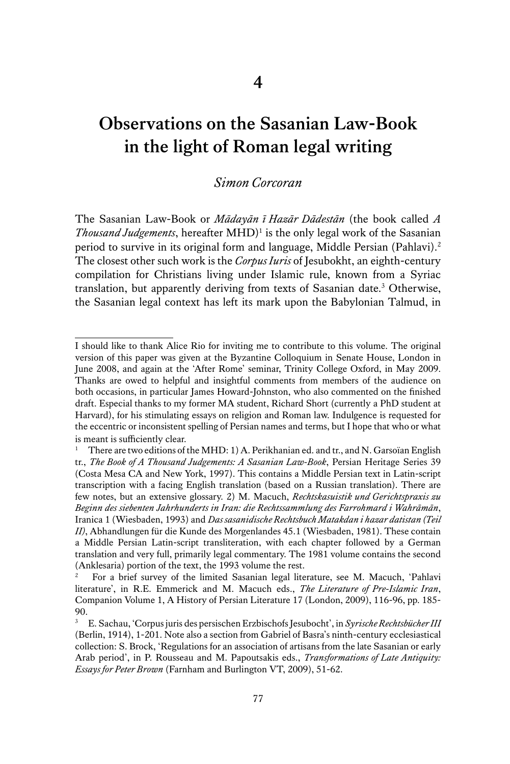## **Observations on the Sasanian Law-Book in the light of Roman legal writing**

## *Simon Corcoran*

The Sasanian Law-Book or *Mādayān ī Hazār Dādestān* (the book called *A Thousand Judgements*, hereafter MHD)<sup>1</sup> is the only legal work of the Sasanian period to survive in its original form and language, Middle Persian (Pahlavi).<sup>2</sup> The closest other such work is the *Corpus Iuris* of Jesubokht, an eighth-century compilation for Christians living under Islamic rule, known from a Syriac translation, but apparently deriving from texts of Sasanian date.<sup>3</sup> Otherwise, the Sasanian legal context has left its mark upon the Babylonian Talmud, in

I should like to thank Alice Rio for inviting me to contribute to this volume. The original version of this paper was given at the Byzantine Colloquium in Senate House, London in June 2008, and again at the 'After Rome' seminar, Trinity College Oxford, in May 2009. Thanks are owed to helpful and insightful comments from members of the audience on both occasions, in particular James Howard-Johnston, who also commented on the finished draft. Especial thanks to my former MA student, Richard Short (currently a PhD student at Harvard), for his stimulating essays on religion and Roman law. Indulgence is requested for the eccentric or inconsistent spelling of Persian names and terms, but I hope that who or what is meant is sufficiently clear.

<sup>&</sup>lt;sup>1</sup> There are two editions of the MHD: 1) A. Perikhanian ed. and tr., and N. Garsoïan English tr., *The Book of A Thousand Judgements: A Sasanian Law-Book*, Persian Heritage Series 39 (Costa Mesa CA and New York, 1997). This contains a Middle Persian text in Latin-script transcription with a facing English translation (based on a Russian translation). There are few notes, but an extensive glossary. 2) M. Macuch, *Rechtskasuistik und Gerichtspraxis zu Beginn des siebenten Jahrhunderts in Iran: die Rechtssammlung des Farrohmard i Wahrāmān*, Iranica 1 (Wiesbaden, 1993) and *Das sasanidische Rechtsbuch Matakdan i hazar datistan (Teil II)*, Abhandlungen für die Kunde des Morgenlandes 45.1 (Wiesbaden, 1981). These contain a Middle Persian Latin-script transliteration, with each chapter followed by a German translation and very full, primarily legal commentary. The 1981 volume contains the second (Anklesaria) portion of the text, the 1993 volume the rest.

<sup>2</sup> For a brief survey of the limited Sasanian legal literature, see M. Macuch, 'Pahlavi literature', in R.E. Emmerick and M. Macuch eds., *The Literature of Pre-Islamic Iran*, Companion Volume 1, A History of Persian Literature 17 (London, 2009), 116-96, pp. 185- 90.

<sup>3</sup> E. Sachau, 'Corpus juris des persischen Erzbischofs Jesubocht', in *Syrische Rechtsbücher III* (Berlin, 1914), 1-201. Note also a section from Gabriel of Basra's ninth-century ecclesiastical collection: S. Brock, 'Regulations for an association of artisans from the late Sasanian or early Arab period', in P. Rousseau and M. Papoutsakis eds., *Transformations of Late Antiquity: Essays for Peter Brown* (Farnham and Burlington VT, 2009), 51-62.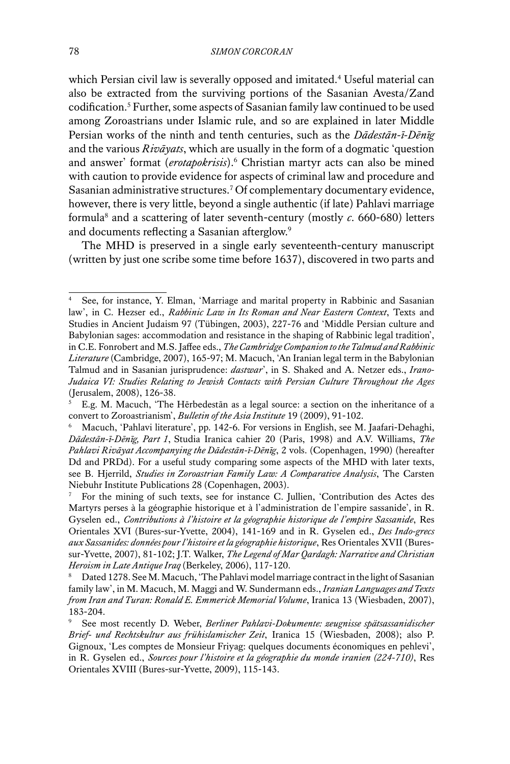which Persian civil law is severally opposed and imitated.4 Useful material can also be extracted from the surviving portions of the Sasanian Avesta/Zand codification.<sup>5</sup> Further, some aspects of Sasanian family law continued to be used among Zoroastrians under Islamic rule, and so are explained in later Middle Persian works of the ninth and tenth centuries, such as the *Dādestān-ī-Dēnīg*  and the various *Rivāyats*, which are usually in the form of a dogmatic 'question and answer' format (*erotapokrisis*).<sup>6</sup> Christian martyr acts can also be mined with caution to provide evidence for aspects of criminal law and procedure and Sasanian administrative structures.7 Of complementary documentary evidence, however, there is very little, beyond a single authentic (if late) Pahlavi marriage formula8 and a scattering of later seventh-century (mostly *c*. 660-680) letters and documents reflecting a Sasanian afterglow.<sup>9</sup>

The MHD is preserved in a single early seventeenth-century manuscript (written by just one scribe some time before 1637), discovered in two parts and

See, for instance, Y. Elman, 'Marriage and marital property in Rabbinic and Sasanian law', in C. Hezser ed., *Rabbinic Law in Its Roman and Near Eastern Context*, Texts and Studies in Ancient Judaism 97 (Tübingen, 2003), 227-76 and 'Middle Persian culture and Babylonian sages: accommodation and resistance in the shaping of Rabbinic legal tradition', in C.E. Fonrobert and M.S. Jaffee eds., *The Cambridge Companion to the Talmud and Rabbinic Literature* (Cambridge, 2007), 165-97; M. Macuch, 'An Iranian legal term in the Babylonian Talmud and in Sasanian jurisprudence: *dastwar*', in S. Shaked and A. Netzer eds., *Irano-Judaica VI: Studies Relating to Jewish Contacts with Persian Culture Throughout the Ages*  (Jerusalem, 2008), 126-38.

<sup>5</sup> E.g. M. Macuch, 'The Hērbedestān as a legal source: a section on the inheritance of a convert to Zoroastrianism', *Bulletin of the Asia Institute* 19 (2009), 91-102.

<sup>6</sup> Macuch, 'Pahlavi literature', pp. 142-6. For versions in English, see M. Jaafari-Dehaghi, *Dādestān-ī-Dēnīg, Part 1*, Studia Iranica cahier 20 (Paris, 1998) and A.V. Williams, *The Pahlavi Rivāyat Accompanying the Dādestān-ī-Dēnīg*, 2 vols. (Copenhagen, 1990) (hereafter Dd and PRDd). For a useful study comparing some aspects of the MHD with later texts, see B. Hjerrild, *Studies in Zoroastrian Family Law: A Comparative Analysis*, The Carsten Niebuhr Institute Publications 28 (Copenhagen, 2003).

<sup>7</sup> For the mining of such texts, see for instance C. Jullien, 'Contribution des Actes des Martyrs perses à la géographie historique et à l'administration de l'empire sassanide', in R. Gyselen ed., *Contributions à l'histoire et la géographie historique de l'empire Sassanide*, Res Orientales XVI (Bures-sur-Yvette, 2004), 141-169 and in R. Gyselen ed., *Des Indo-grecs aux Sassanides: données pour l'histoire et la géographie historique*, Res Orientales XVII (Buressur-Yvette, 2007), 81-102; J.T. Walker, *The Legend of Mar Qardagh: Narrative and Christian Heroism in Late Antique Iraq* (Berkeley, 2006), 117-120.

Dated 1278. See M. Macuch, 'The Pahlavi model marriage contract in the light of Sasanian family law', in M. Macuch, M. Maggi and W. Sundermann eds., *Iranian Languages and Texts from Iran and Turan: Ronald E. Emmerick Memorial Volume*, Iranica 13 (Wiesbaden, 2007), 183-204.

<sup>9</sup> See most recently D. Weber, *Berliner Pahlavi-Dokumente: zeugnisse spätsassanidischer Brief- und Rechtskultur aus frühislamischer Zeit*, Iranica 15 (Wiesbaden, 2008); also P. Gignoux, 'Les comptes de Monsieur Friyag: quelques documents économiques en pehlevi', in R. Gyselen ed., *Sources pour l'histoire et la géographie du monde iranien (224-710)*, Res Orientales XVIII (Bures-sur-Yvette, 2009), 115-143.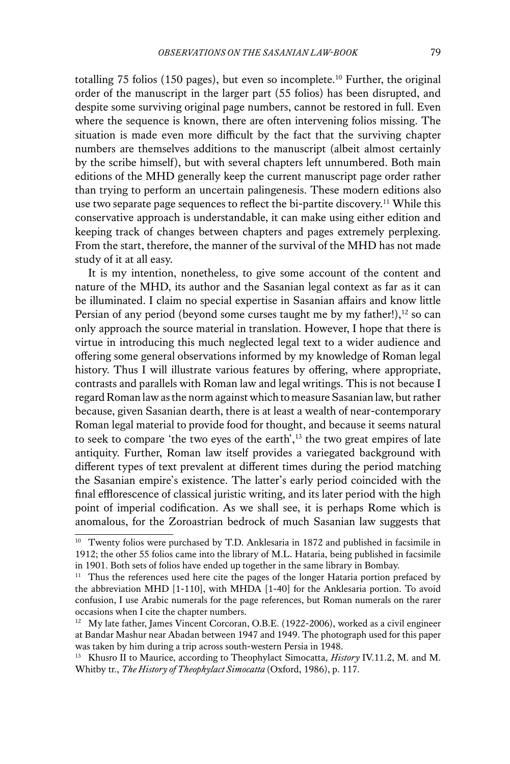totalling 75 folios (150 pages), but even so incomplete.<sup>10</sup> Further, the original order of the manuscript in the larger part (55 folios) has been disrupted, and despite some surviving original page numbers, cannot be restored in full. Even where the sequence is known, there are often intervening folios missing. The situation is made even more difficult by the fact that the surviving chapter numbers are themselves additions to the manuscript (albeit almost certainly by the scribe himself), but with several chapters left unnumbered. Both main editions of the MHD generally keep the current manuscript page order rather than trying to perform an uncertain palingenesis. These modern editions also use two separate page sequences to reflect the bi-partite discovery.<sup>11</sup> While this conservative approach is understandable, it can make using either edition and keeping track of changes between chapters and pages extremely perplexing. From the start, therefore, the manner of the survival of the MHD has not made study of it at all easy.

It is my intention, nonetheless, to give some account of the content and nature of the MHD, its author and the Sasanian legal context as far as it can be illuminated. I claim no special expertise in Sasanian affairs and know little Persian of any period (beyond some curses taught me by my father!), $12$  so can only approach the source material in translation. However, I hope that there is virtue in introducing this much neglected legal text to a wider audience and offering some general observations informed by my knowledge of Roman legal history. Thus I will illustrate various features by offering, where appropriate, contrasts and parallels with Roman law and legal writings. This is not because I regard Roman law as the norm against which to measure Sasanian law, but rather because, given Sasanian dearth, there is at least a wealth of near-contemporary Roman legal material to provide food for thought, and because it seems natural to seek to compare 'the two eyes of the earth', $13$  the two great empires of late antiquity. Further, Roman law itself provides a variegated background with different types of text prevalent at different times during the period matching the Sasanian empire's existence. The latter's early period coincided with the final efflorescence of classical juristic writing, and its later period with the high point of imperial codification. As we shall see, it is perhaps Rome which is anomalous, for the Zoroastrian bedrock of much Sasanian law suggests that

<sup>&</sup>lt;sup>10</sup> Twenty folios were purchased by T.D. Anklesaria in 1872 and published in facsimile in 1912; the other 55 folios came into the library of M.L. Hataria, being published in facsimile in 1901. Both sets of folios have ended up together in the same library in Bombay.

 $11$  Thus the references used here cite the pages of the longer Hataria portion prefaced by the abbreviation MHD [1-110], with MHDA [1-40] for the Anklesaria portion. To avoid confusion, I use Arabic numerals for the page references, but Roman numerals on the rarer occasions when I cite the chapter numbers.

<sup>&</sup>lt;sup>12</sup> My late father, James Vincent Corcoran, O.B.E. (1922-2006), worked as a civil engineer at Bandar Mashur near Abadan between 1947 and 1949. The photograph used for this paper was taken by him during a trip across south-western Persia in 1948.

<sup>13</sup> Khusro II to Maurice, according to Theophylact Simocatta, *History* IV.11.2, M. and M. Whitby tr., *The History of Theophylact Simocatta* (Oxford, 1986), p. 117.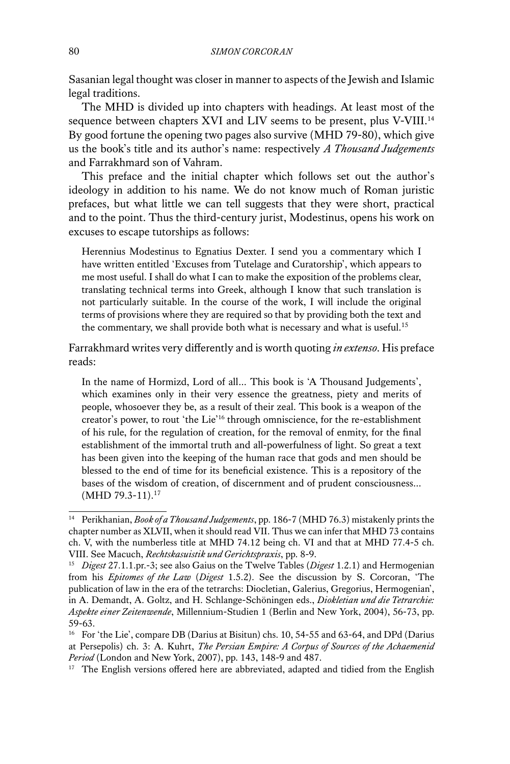Sasanian legal thought was closer in manner to aspects of the Jewish and Islamic legal traditions.

The MHD is divided up into chapters with headings. At least most of the sequence between chapters XVI and LIV seems to be present, plus V-VIII.<sup>14</sup> By good fortune the opening two pages also survive (MHD 79-80), which give us the book's title and its author's name: respectively *A Thousand Judgements* and Farrakhmard son of Vahram.

This preface and the initial chapter which follows set out the author's ideology in addition to his name. We do not know much of Roman juristic prefaces, but what little we can tell suggests that they were short, practical and to the point. Thus the third-century jurist, Modestinus, opens his work on excuses to escape tutorships as follows:

Herennius Modestinus to Egnatius Dexter. I send you a commentary which I have written entitled 'Excuses from Tutelage and Curatorship', which appears to me most useful. I shall do what I can to make the exposition of the problems clear, translating technical terms into Greek, although I know that such translation is not particularly suitable. In the course of the work, I will include the original terms of provisions where they are required so that by providing both the text and the commentary, we shall provide both what is necessary and what is useful.<sup>15</sup>

Farrakhmard writes very differently and is worth quoting *in extenso*. His preface reads:

In the name of Hormizd, Lord of all… This book is 'A Thousand Judgements', which examines only in their very essence the greatness, piety and merits of people, whosoever they be, as a result of their zeal. This book is a weapon of the creator's power, to rout 'the Lie'16 through omniscience, for the re-establishment of his rule, for the regulation of creation, for the removal of enmity, for the final establishment of the immortal truth and all-powerfulness of light. So great a text has been given into the keeping of the human race that gods and men should be blessed to the end of time for its beneficial existence. This is a repository of the bases of the wisdom of creation, of discernment and of prudent consciousness...  $(MHD 79.3-11).$ <sup>17</sup>

<sup>17</sup> The English versions offered here are abbreviated, adapted and tidied from the English

<sup>14</sup> Perikhanian, *Book of a Thousand Judgements*, pp. 186-7 (MHD 76.3) mistakenly prints the chapter number as XLVII, when it should read VII. Thus we can infer that MHD 73 contains ch. V, with the numberless title at MHD 74.12 being ch. VI and that at MHD 77.4-5 ch. VIII. See Macuch, *Rechtskasuistik und Gerichtspraxis*, pp. 8-9.

<sup>15</sup> *Digest* 27.1.1.pr.-3; see also Gaius on the Twelve Tables (*Digest* 1.2.1) and Hermogenian from his *Epitomes of the Law* (*Digest* 1.5.2). See the discussion by S. Corcoran, 'The publication of law in the era of the tetrarchs: Diocletian, Galerius, Gregorius, Hermogenian', in A. Demandt, A. Goltz, and H. Schlange-Schöningen eds., *Diokletian und die Tetrarchie: Aspekte einer Zeitenwende*, Millennium-Studien 1 (Berlin and New York, 2004), 56-73, pp. 59-63.

<sup>&</sup>lt;sup>16</sup> For 'the Lie', compare DB (Darius at Bisitun) chs. 10, 54-55 and 63-64, and DPd (Darius at Persepolis) ch. 3: A. Kuhrt, *The Persian Empire: A Corpus of Sources of the Achaemenid Period* (London and New York, 2007), pp. 143, 148-9 and 487.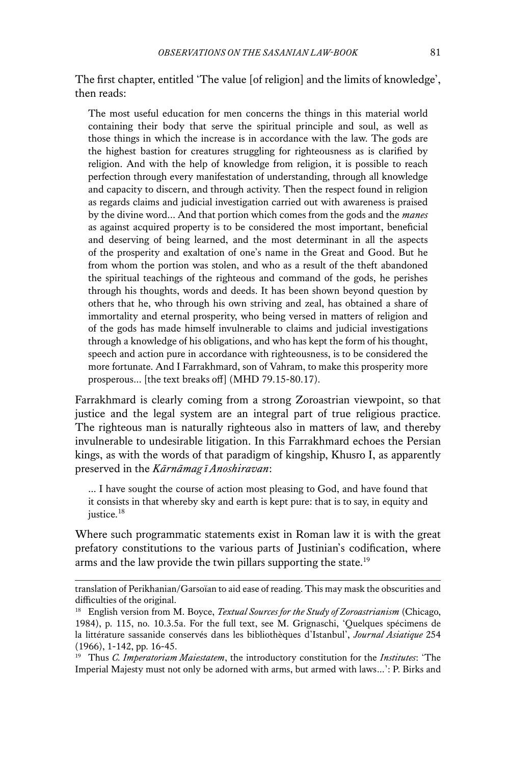The first chapter, entitled 'The value [of religion] and the limits of knowledge', then reads:

The most useful education for men concerns the things in this material world containing their body that serve the spiritual principle and soul, as well as those things in which the increase is in accordance with the law. The gods are the highest bastion for creatures struggling for righteousness as is clarified by religion. And with the help of knowledge from religion, it is possible to reach perfection through every manifestation of understanding, through all knowledge and capacity to discern, and through activity. Then the respect found in religion as regards claims and judicial investigation carried out with awareness is praised by the divine word... And that portion which comes from the gods and the *manes* as against acquired property is to be considered the most important, beneficial and deserving of being learned, and the most determinant in all the aspects of the prosperity and exaltation of one's name in the Great and Good. But he from whom the portion was stolen, and who as a result of the theft abandoned the spiritual teachings of the righteous and command of the gods, he perishes through his thoughts, words and deeds. It has been shown beyond question by others that he, who through his own striving and zeal, has obtained a share of immortality and eternal prosperity, who being versed in matters of religion and of the gods has made himself invulnerable to claims and judicial investigations through a knowledge of his obligations, and who has kept the form of his thought, speech and action pure in accordance with righteousness, is to be considered the more fortunate. And I Farrakhmard, son of Vahram, to make this prosperity more prosperous... [the text breaks off] (MHD 79.15-80.17).

Farrakhmard is clearly coming from a strong Zoroastrian viewpoint, so that justice and the legal system are an integral part of true religious practice. The righteous man is naturally righteous also in matters of law, and thereby invulnerable to undesirable litigation. In this Farrakhmard echoes the Persian kings, as with the words of that paradigm of kingship, Khusro I, as apparently preserved in the *Kārnāmag ī Anoshiravan*:

... I have sought the course of action most pleasing to God, and have found that it consists in that whereby sky and earth is kept pure: that is to say, in equity and justice.<sup>18</sup>

Where such programmatic statements exist in Roman law it is with the great prefatory constitutions to the various parts of Justinian's codification, where arms and the law provide the twin pillars supporting the state.<sup>19</sup>

translation of Perikhanian/Garsoïan to aid ease of reading. This may mask the obscurities and difficulties of the original.

<sup>18</sup> English version from M. Boyce, *Textual Sources for the Study of Zoroastrianism* (Chicago, 1984), p. 115, no. 10.3.5a. For the full text, see M. Grignaschi, 'Quelques spécimens de la littérature sassanide conservés dans les bibliothèques d'Istanbul', *Journal Asiatique* 254 (1966), 1-142, pp. 16-45.

<sup>19</sup> Thus *C. Imperatoriam Maiestatem*, the introductory constitution for the *Institutes*: 'The Imperial Majesty must not only be adorned with arms, but armed with laws…': P. Birks and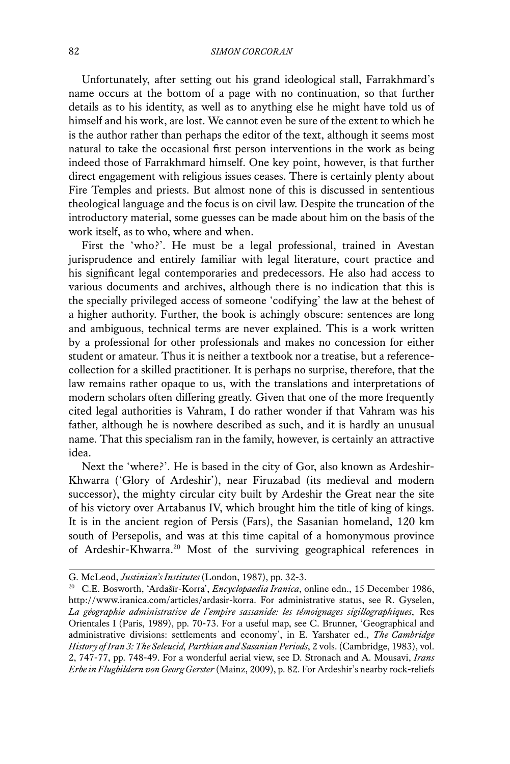Unfortunately, after setting out his grand ideological stall, Farrakhmard's name occurs at the bottom of a page with no continuation, so that further details as to his identity, as well as to anything else he might have told us of himself and his work, are lost. We cannot even be sure of the extent to which he is the author rather than perhaps the editor of the text, although it seems most natural to take the occasional first person interventions in the work as being indeed those of Farrakhmard himself. One key point, however, is that further direct engagement with religious issues ceases. There is certainly plenty about Fire Temples and priests. But almost none of this is discussed in sententious theological language and the focus is on civil law. Despite the truncation of the introductory material, some guesses can be made about him on the basis of the work itself, as to who, where and when.

First the 'who?'. He must be a legal professional, trained in Avestan jurisprudence and entirely familiar with legal literature, court practice and his significant legal contemporaries and predecessors. He also had access to various documents and archives, although there is no indication that this is the specially privileged access of someone 'codifying' the law at the behest of a higher authority. Further, the book is achingly obscure: sentences are long and ambiguous, technical terms are never explained. This is a work written by a professional for other professionals and makes no concession for either student or amateur. Thus it is neither a textbook nor a treatise, but a referencecollection for a skilled practitioner. It is perhaps no surprise, therefore, that the law remains rather opaque to us, with the translations and interpretations of modern scholars often differing greatly. Given that one of the more frequently cited legal authorities is Vahram, I do rather wonder if that Vahram was his father, although he is nowhere described as such, and it is hardly an unusual name. That this specialism ran in the family, however, is certainly an attractive idea.

Next the 'where?'. He is based in the city of Gor, also known as Ardeshir-Khwarra ('Glory of Ardeshir'), near Firuzabad (its medieval and modern successor), the mighty circular city built by Ardeshir the Great near the site of his victory over Artabanus IV, which brought him the title of king of kings. It is in the ancient region of Persis (Fars), the Sasanian homeland, 120 km south of Persepolis, and was at this time capital of a homonymous province of Ardeshir-Khwarra.20 Most of the surviving geographical references in

G. McLeod, *Justinian's Institutes* (London, 1987), pp. 32-3.

<sup>20</sup> C.E. Bosworth, 'Ardašīr-Korra', *Encyclopaedia Iranica*, online edn., 15 December 1986, http://www.iranica.com/articles/ardasir-korra. For administrative status, see R. Gyselen, *La géographie administrative de l'empire sassanide: les témoignages sigillographiques*, Res Orientales I (Paris, 1989), pp. 70-73. For a useful map, see C. Brunner, 'Geographical and administrative divisions: settlements and economy', in E. Yarshater ed., *The Cambridge History of Iran 3: The Seleucid, Parthian and Sasanian Periods*, 2 vols. (Cambridge, 1983), vol. 2, 747-77, pp. 748-49. For a wonderful aerial view, see D. Stronach and A. Mousavi, *Irans Erbe in Flugbildern von Georg Gerster* (Mainz, 2009), p. 82. For Ardeshir's nearby rock-reliefs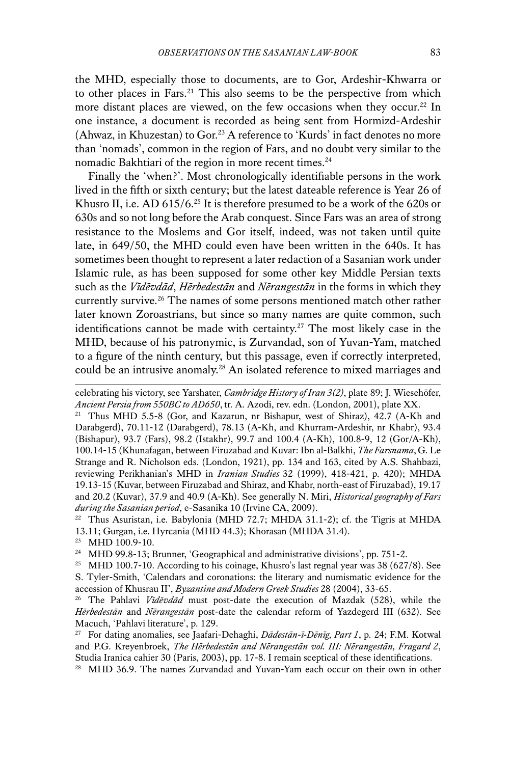the MHD, especially those to documents, are to Gor, Ardeshir-Khwarra or to other places in Fars.<sup>21</sup> This also seems to be the perspective from which more distant places are viewed, on the few occasions when they occur.<sup>22</sup> In one instance, a document is recorded as being sent from Hormizd-Ardeshir (Ahwaz, in Khuzestan) to Gor.<sup>23</sup> A reference to 'Kurds' in fact denotes no more than 'nomads', common in the region of Fars, and no doubt very similar to the nomadic Bakhtiari of the region in more recent times.<sup>24</sup>

Finally the 'when?'. Most chronologically identifiable persons in the work lived in the fifth or sixth century; but the latest dateable reference is Year 26 of Khusro II, i.e. AD  $615/6$ .<sup>25</sup> It is therefore presumed to be a work of the  $620s$  or 630s and so not long before the Arab conquest. Since Fars was an area of strong resistance to the Moslems and Gor itself, indeed, was not taken until quite late, in 649/50, the MHD could even have been written in the 640s. It has sometimes been thought to represent a later redaction of a Sasanian work under Islamic rule, as has been supposed for some other key Middle Persian texts such as the *Vīdēvdād*, *Hērbedestān* and *Nērangestān* in the forms in which they currently survive.<sup>26</sup> The names of some persons mentioned match other rather later known Zoroastrians, but since so many names are quite common, such identifications cannot be made with certainty.<sup>27</sup> The most likely case in the MHD, because of his patronymic, is Zurvandad, son of Yuvan-Yam, matched to a figure of the ninth century, but this passage, even if correctly interpreted, could be an intrusive anomaly.<sup>28</sup> An isolated reference to mixed marriages and

<sup>28</sup> MHD 36.9. The names Zurvandad and Yuvan-Yam each occur on their own in other

celebrating his victory, see Yarshater, *Cambridge History of Iran 3(2)*, plate 89; J. Wiesehöfer, *Ancient Persia from 550BC to AD650*, tr. A. Azodi, rev. edn. (London, 2001), plate XX.

<sup>&</sup>lt;sup>21</sup> Thus MHD 5.5-8 (Gor, and Kazarun, nr Bishapur, west of Shiraz), 42.7 (A-Kh and Darabgerd), 70.11-12 (Darabgerd), 78.13 (A-Kh, and Khurram-Ardeshir, nr Khabr), 93.4 (Bishapur), 93.7 (Fars), 98.2 (Istakhr), 99.7 and 100.4 (A-Kh), 100.8-9, 12 (Gor/A-Kh), 100.14-15 (Khunafagan, between Firuzabad and Kuvar: Ibn al-Balkhi, *The Farsnama*, G. Le Strange and R. Nicholson eds. (London, 1921), pp. 134 and 163, cited by A.S. Shahbazi, reviewing Perikhanian's MHD in *Iranian Studies* 32 (1999), 418-421, p. 420); MHDA 19.13-15 (Kuvar, between Firuzabad and Shiraz, and Khabr, north-east of Firuzabad), 19.17 and 20.2 (Kuvar), 37.9 and 40.9 (A-Kh). See generally N. Miri, *Historical geography of Fars during the Sasanian period*, e-Sasanika 10 (Irvine CA, 2009).

<sup>&</sup>lt;sup>22</sup> Thus Asuristan, i.e. Babylonia (MHD 72.7; MHDA 31.1-2); cf. the Tigris at MHDA 13.11; Gurgan, i.e. Hyrcania (MHD 44.3); Khorasan (MHDA 31.4).

<sup>23</sup> MHD 100.9-10.

<sup>&</sup>lt;sup>24</sup> MHD 99.8-13; Brunner, 'Geographical and administrative divisions', pp. 751-2.

<sup>&</sup>lt;sup>25</sup> MHD 100.7-10. According to his coinage, Khusro's last regnal year was 38  $(627/8)$ . See S. Tyler-Smith, 'Calendars and coronations: the literary and numismatic evidence for the accession of Khusrau II', *Byzantine and Modern Greek Studies* 28 (2004), 33-65.

<sup>26</sup> The Pahlavi *Vīdēvdād* must post-date the execution of Mazdak (528), while the *Hērbedestān* and *Nērangestān* post-date the calendar reform of Yazdegerd III (632). See Macuch, 'Pahlavi literature', p. 129.

<sup>27</sup> For dating anomalies, see Jaafari-Dehaghi, *Dādestān-ī-Dēnīg, Part 1*, p. 24; F.M. Kotwal and P.G. Kreyenbroek, *The Hērbedestān and Nērangestān vol. III: Nērangestān, Fragard 2*, Studia Iranica cahier 30 (Paris, 2003), pp. 17-8. I remain sceptical of these identifications.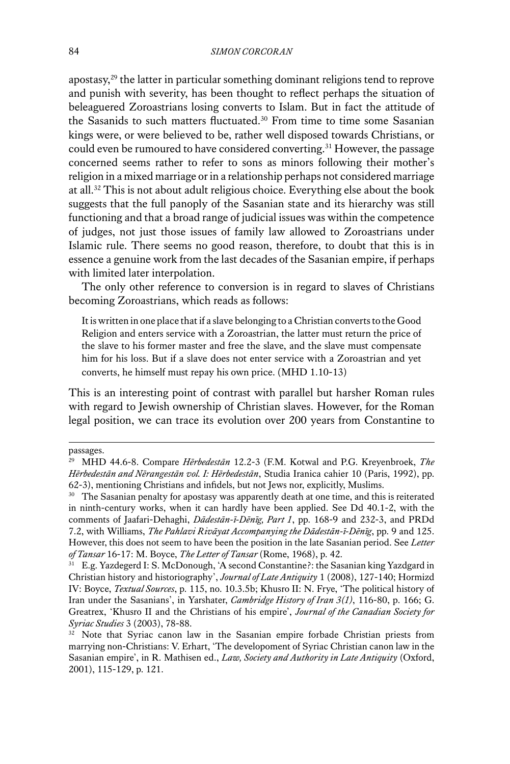apostasy,29 the latter in particular something dominant religions tend to reprove and punish with severity, has been thought to reflect perhaps the situation of beleaguered Zoroastrians losing converts to Islam. But in fact the attitude of the Sasanids to such matters fluctuated.30 From time to time some Sasanian kings were, or were believed to be, rather well disposed towards Christians, or could even be rumoured to have considered converting.31 However, the passage concerned seems rather to refer to sons as minors following their mother's religion in a mixed marriage or in a relationship perhaps not considered marriage at all.32 This is not about adult religious choice. Everything else about the book suggests that the full panoply of the Sasanian state and its hierarchy was still functioning and that a broad range of judicial issues was within the competence of judges, not just those issues of family law allowed to Zoroastrians under Islamic rule. There seems no good reason, therefore, to doubt that this is in essence a genuine work from the last decades of the Sasanian empire, if perhaps with limited later interpolation.

The only other reference to conversion is in regard to slaves of Christians becoming Zoroastrians, which reads as follows:

It is written in one place that if a slave belonging to a Christian converts to the Good Religion and enters service with a Zoroastrian, the latter must return the price of the slave to his former master and free the slave, and the slave must compensate him for his loss. But if a slave does not enter service with a Zoroastrian and yet converts, he himself must repay his own price. (MHD 1.10-13)

This is an interesting point of contrast with parallel but harsher Roman rules with regard to Jewish ownership of Christian slaves. However, for the Roman legal position, we can trace its evolution over 200 years from Constantine to

passages.

<sup>29</sup> MHD 44.6-8. Compare *Hērbedestān* 12.2-3 (F.M. Kotwal and P.G. Kreyenbroek, *The Hērbedestān and Nērangestān vol. I: Hērbedestān*, Studia Iranica cahier 10 (Paris, 1992), pp. 62-3), mentioning Christians and infidels, but not Jews nor, explicitly, Muslims.

<sup>&</sup>lt;sup>30</sup> The Sasanian penalty for apostasy was apparently death at one time, and this is reiterated in ninth-century works, when it can hardly have been applied. See Dd 40.1-2, with the comments of Jaafari-Dehaghi, *Dādestān-ī-Dēnīg, Part 1*, pp. 168-9 and 232-3, and PRDd 7.2, with Williams, *The Pahlavi Rivāyat Accompanying the Dādestān-ī-Dēnīg*, pp. 9 and 125. However, this does not seem to have been the position in the late Sasanian period. See *Letter of Tansar* 16-17: M. Boyce, *The Letter of Tansar* (Rome, 1968), p. 42.

<sup>31</sup> E.g. Yazdegerd I: S. McDonough, 'A second Constantine?: the Sasanian king Yazdgard in Christian history and historiography', *Journal of Late Antiquity* 1 (2008), 127-140; Hormizd IV: Boyce, *Textual Sources*, p. 115, no. 10.3.5b; Khusro II: N. Frye, 'The political history of Iran under the Sasanians', in Yarshater, *Cambridge History of Iran 3(1)*, 116-80, p. 166; G. Greatrex, 'Khusro II and the Christians of his empire', *Journal of the Canadian Society for Syriac Studies* 3 (2003), 78-88.

<sup>&</sup>lt;sup>32</sup> Note that Syriac canon law in the Sasanian empire forbade Christian priests from marrying non-Christians: V. Erhart, 'The developoment of Syriac Christian canon law in the Sasanian empire', in R. Mathisen ed., *Law, Society and Authority in Late Antiquity* (Oxford, 2001), 115-129, p. 121.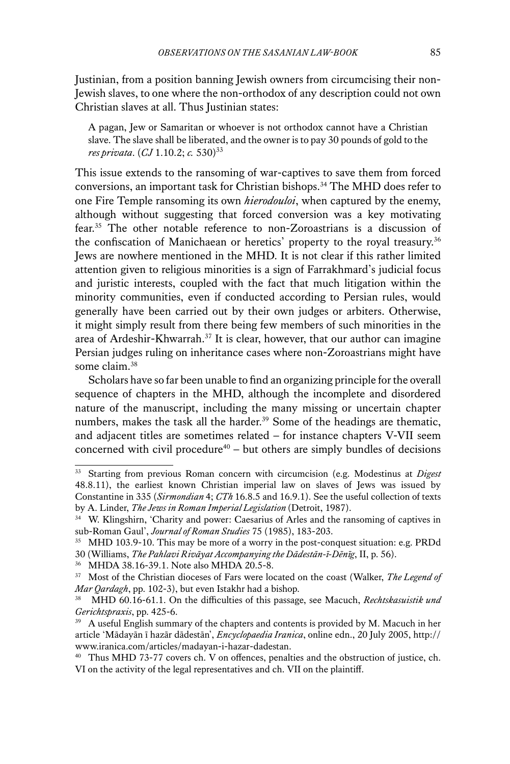Justinian, from a position banning Jewish owners from circumcising their non-Jewish slaves, to one where the non-orthodox of any description could not own Christian slaves at all. Thus Justinian states:

A pagan, Jew or Samaritan or whoever is not orthodox cannot have a Christian slave. The slave shall be liberated, and the owner is to pay 30 pounds of gold to the *res privata.* (*CJ* 1.10.2; *c.* 530)<sup>33</sup>

This issue extends to the ransoming of war-captives to save them from forced conversions, an important task for Christian bishops.<sup>34</sup> The MHD does refer to one Fire Temple ransoming its own *hierodouloi*, when captured by the enemy, although without suggesting that forced conversion was a key motivating fear.35 The other notable reference to non-Zoroastrians is a discussion of the confiscation of Manichaean or heretics' property to the royal treasury.<sup>36</sup> Jews are nowhere mentioned in the MHD. It is not clear if this rather limited attention given to religious minorities is a sign of Farrakhmard's judicial focus and juristic interests, coupled with the fact that much litigation within the minority communities, even if conducted according to Persian rules, would generally have been carried out by their own judges or arbiters. Otherwise, it might simply result from there being few members of such minorities in the area of Ardeshir-Khwarrah.37 It is clear, however, that our author can imagine Persian judges ruling on inheritance cases where non-Zoroastrians might have some claim.<sup>38</sup>

Scholars have so far been unable to find an organizing principle for the overall sequence of chapters in the MHD, although the incomplete and disordered nature of the manuscript, including the many missing or uncertain chapter numbers, makes the task all the harder.<sup>39</sup> Some of the headings are thematic, and adjacent titles are sometimes related – for instance chapters V-VII seem concerned with civil procedure $40 -$  but others are simply bundles of decisions

<sup>36</sup> MHDA 38.16-39.1. Note also MHDA 20.5-8.

<sup>33</sup> Starting from previous Roman concern with circumcision (e.g. Modestinus at *Digest* 48.8.11), the earliest known Christian imperial law on slaves of Jews was issued by Constantine in 335 (*Sirmondian* 4; *CTh* 16.8.5 and 16.9.1). See the useful collection of texts by A. Linder, *The Jews in Roman Imperial Legislation* (Detroit, 1987).

<sup>&</sup>lt;sup>34</sup> W. Klingshirn, 'Charity and power: Caesarius of Arles and the ransoming of captives in sub-Roman Gaul', *Journal of Roman Studies* 75 (1985), 183-203.

<sup>&</sup>lt;sup>35</sup> MHD 103.9-10. This may be more of a worry in the post-conquest situation: e.g. PRDd 30 (Williams, *The Pahlavi Rivāyat Accompanying the Dādestān-ī-Dēnīg*, II, p. 56).

<sup>37</sup> Most of the Christian dioceses of Fars were located on the coast (Walker, *The Legend of Mar Qardagh*, pp. 102-3), but even Istakhr had a bishop.

<sup>38</sup> MHD 60.16-61.1. On the difficulties of this passage, see Macuch, *Rechtskasuistik und Gerichtspraxis*, pp. 425-6.

<sup>&</sup>lt;sup>39</sup> A useful English summary of the chapters and contents is provided by M. Macuch in her article 'Mādayān ī hazār dādestān', *Encyclopaedia Iranica*, online edn., 20 July 2005, http:// www.iranica.com/articles/madayan-i-hazar-dadestan.

<sup>40</sup> Thus MHD 73-77 covers ch. V on offences, penalties and the obstruction of justice, ch. VI on the activity of the legal representatives and ch. VII on the plaintiff.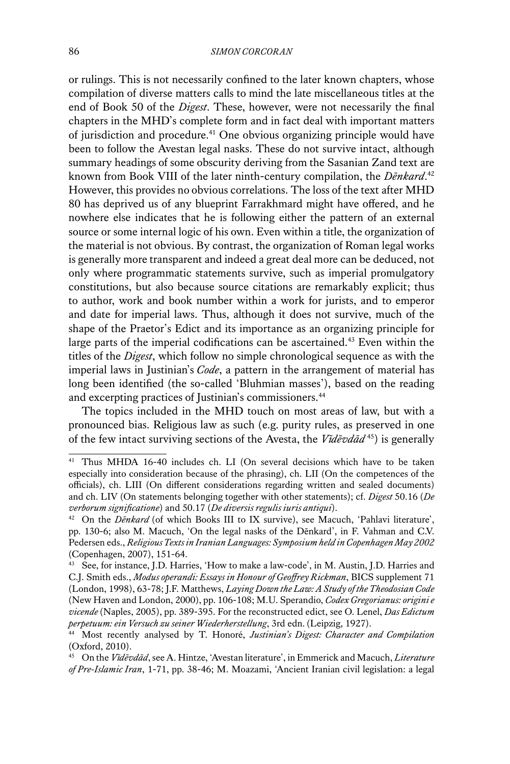or rulings. This is not necessarily confined to the later known chapters, whose compilation of diverse matters calls to mind the late miscellaneous titles at the end of Book 50 of the *Digest*. These, however, were not necessarily the final chapters in the MHD's complete form and in fact deal with important matters of jurisdiction and procedure.41 One obvious organizing principle would have been to follow the Avestan legal nasks. These do not survive intact, although summary headings of some obscurity deriving from the Sasanian Zand text are known from Book VIII of the later ninth-century compilation, the *Dēnkard*. 42 However, this provides no obvious correlations. The loss of the text after MHD 80 has deprived us of any blueprint Farrakhmard might have offered, and he nowhere else indicates that he is following either the pattern of an external source or some internal logic of his own. Even within a title, the organization of the material is not obvious. By contrast, the organization of Roman legal works is generally more transparent and indeed a great deal more can be deduced, not only where programmatic statements survive, such as imperial promulgatory constitutions, but also because source citations are remarkably explicit; thus to author, work and book number within a work for jurists, and to emperor and date for imperial laws. Thus, although it does not survive, much of the shape of the Praetor's Edict and its importance as an organizing principle for large parts of the imperial codifications can be ascertained.<sup>43</sup> Even within the titles of the *Digest*, which follow no simple chronological sequence as with the imperial laws in Justinian's *Code*, a pattern in the arrangement of material has long been identified (the so-called 'Bluhmian masses'), based on the reading and excerpting practices of Justinian's commissioners.44

The topics included in the MHD touch on most areas of law, but with a pronounced bias. Religious law as such (e.g. purity rules, as preserved in one of the few intact surviving sections of the Avesta, the *Vīdēvdād* 45) is generally

<sup>41</sup> Thus MHDA 16-40 includes ch. LI (On several decisions which have to be taken especially into consideration because of the phrasing), ch. LII (On the competences of the officials), ch. LIII (On different considerations regarding written and sealed documents) and ch. LIV (On statements belonging together with other statements); cf. *Digest* 50.16 (*De verborum significatione*) and 50.17 (*De diversis regulis iuris antiqui*).

<sup>42</sup> On the *Dēnkard* (of which Books III to IX survive), see Macuch, 'Pahlavi literature', pp. 130-6; also M. Macuch, 'On the legal nasks of the Dēnkard', in F. Vahman and C.V. Pedersen eds., *Religious Texts in Iranian Languages: Symposium held in Copenhagen May 2002* (Copenhagen, 2007), 151-64.

<sup>43</sup> See, for instance, J.D. Harries, 'How to make a law-code', in M. Austin, J.D. Harries and C.J. Smith eds., *Modus operandi: Essays in Honour of Geoffrey Rickman*, BICS supplement 71 (London, 1998), 63-78; J.F. Matthews, *Laying Down the Law: A Study of the Theodosian Code*  (New Haven and London, 2000), pp. 106-108; M.U. Sperandio, *Codex Gregorianus: origini e vicende* (Naples, 2005), pp. 389-395. For the reconstructed edict, see O. Lenel, *Das Edictum perpetuum: ein Versuch zu seiner Wiederherstellung*, 3rd edn. (Leipzig, 1927).

<sup>44</sup> Most recently analysed by T. Honoré, *Justinian's Digest: Character and Compilation*  (Oxford, 2010).

<sup>45</sup> On the *Vīdēvdād*, see A. Hintze, 'Avestan literature', in Emmerick and Macuch, *Literature of Pre-Islamic Iran*, 1-71, pp. 38-46; M. Moazami, 'Ancient Iranian civil legislation: a legal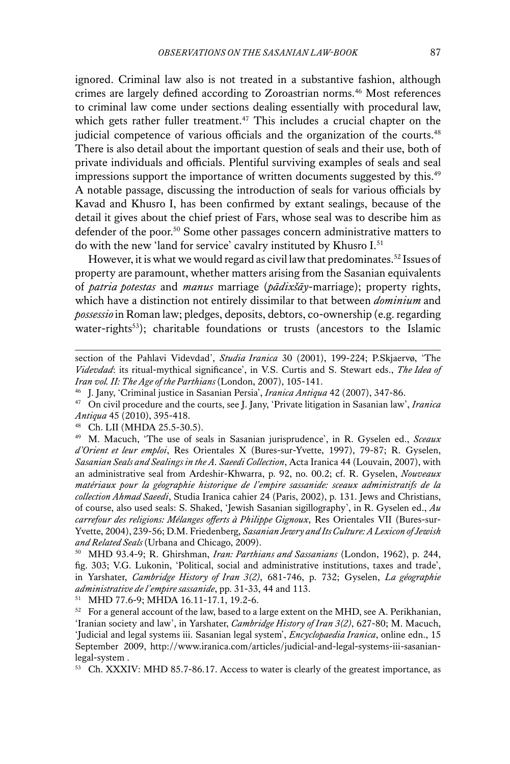ignored. Criminal law also is not treated in a substantive fashion, although crimes are largely defined according to Zoroastrian norms.<sup>46</sup> Most references to criminal law come under sections dealing essentially with procedural law, which gets rather fuller treatment.<sup>47</sup> This includes a crucial chapter on the judicial competence of various officials and the organization of the courts.<sup>48</sup> There is also detail about the important question of seals and their use, both of private individuals and officials. Plentiful surviving examples of seals and seal impressions support the importance of written documents suggested by this.<sup>49</sup> A notable passage, discussing the introduction of seals for various officials by Kavad and Khusro I, has been confirmed by extant sealings, because of the detail it gives about the chief priest of Fars, whose seal was to describe him as defender of the poor.50 Some other passages concern administrative matters to do with the new 'land for service' cavalry instituted by Khusro I.<sup>51</sup>

However, it is what we would regard as civil law that predominates.<sup>52</sup> Issues of property are paramount, whether matters arising from the Sasanian equivalents of *patria potestas* and *manus* marriage (*pādixšāy*-marriage); property rights, which have a distinction not entirely dissimilar to that between *dominium* and *possessio* in Roman law; pledges, deposits, debtors, co-ownership (e.g. regarding water-rights<sup>53</sup>); charitable foundations or trusts (ancestors to the Islamic

<sup>51</sup> MHD 77.6-9; MHDA 16.11-17.1, 19.2-6.

section of the Pahlavi Videvdad', *Studia Iranica* 30 (2001), 199-224; P.Skjaervø, 'The *Videvdad*: its ritual-mythical significance', in V.S. Curtis and S. Stewart eds., *The Idea of Iran vol. II: The Age of the Parthians* (London, 2007), 105-141.

<sup>46</sup> J. Jany, 'Criminal justice in Sasanian Persia', *Iranica Antiqua* 42 (2007), 347-86.

<sup>47</sup> On civil procedure and the courts, see J. Jany, 'Private litigation in Sasanian law', *Iranica Antiqua* 45 (2010), 395-418.

<sup>48</sup> Ch. LII (MHDA 25.5-30.5).

<sup>49</sup> M. Macuch, 'The use of seals in Sasanian jurisprudence', in R. Gyselen ed., *Sceaux d'Orient et leur emploi*, Res Orientales X (Bures-sur-Yvette, 1997), 79-87; R. Gyselen, *Sasanian Seals and Sealings in the A. Saeedi Collection*, Acta Iranica 44 (Louvain, 2007), with an administrative seal from Ardeshir-Khwarra, p. 92, no. 00.2; cf. R. Gyselen, *Nouveaux matériaux pour la géographie historique de l'empire sassanide: sceaux administratifs de la collection Ahmad Saeedi*, Studia Iranica cahier 24 (Paris, 2002), p. 131. Jews and Christians, of course, also used seals: S. Shaked, 'Jewish Sasanian sigillography', in R. Gyselen ed., *Au carrefour des religions: Mélanges offerts à Philippe Gignoux*, Res Orientales VII (Bures-sur-Yvette, 2004), 239-56; D.M. Friedenberg, *Sasanian Jewry and Its Culture: A Lexicon of Jewish and Related Seals* (Urbana and Chicago, 2009).

<sup>50</sup> MHD 93.4-9; R. Ghirshman, *Iran: Parthians and Sassanians* (London, 1962), p. 244, fig. 303; V.G. Lukonin, 'Political, social and administrative institutions, taxes and trade', in Yarshater, *Cambridge History of Iran 3(2)*, 681-746, p. 732; Gyselen, *La géographie administrative de l'empire sassanide*, pp. 31-33, 44 and 113.

 $52$  For a general account of the law, based to a large extent on the MHD, see A. Perikhanian, 'Iranian society and law', in Yarshater, *Cambridge History of Iran 3(2)*, 627-80; M. Macuch, 'Judicial and legal systems iii. Sasanian legal system', *Encyclopaedia Iranica*, online edn., 15 September 2009, http://www.iranica.com/articles/judicial-and-legal-systems-iii-sasanianlegal-system .

<sup>53</sup> Ch. XXXIV: MHD 85.7-86.17. Access to water is clearly of the greatest importance, as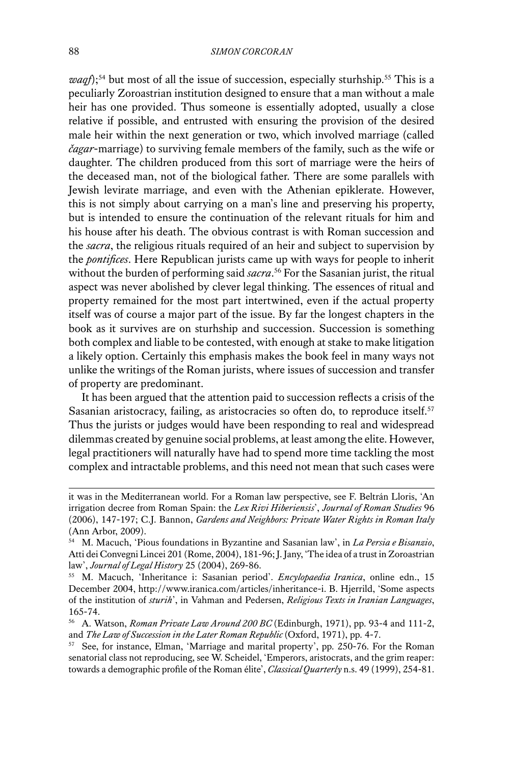*waqf*);<sup>54</sup> but most of all the issue of succession, especially sturhship.<sup>55</sup> This is a peculiarly Zoroastrian institution designed to ensure that a man without a male heir has one provided. Thus someone is essentially adopted, usually a close relative if possible, and entrusted with ensuring the provision of the desired male heir within the next generation or two, which involved marriage (called *čagar*-marriage) to surviving female members of the family, such as the wife or daughter. The children produced from this sort of marriage were the heirs of the deceased man, not of the biological father. There are some parallels with Jewish levirate marriage, and even with the Athenian epiklerate. However, this is not simply about carrying on a man's line and preserving his property, but is intended to ensure the continuation of the relevant rituals for him and his house after his death. The obvious contrast is with Roman succession and the *sacra*, the religious rituals required of an heir and subject to supervision by the *pontifices*. Here Republican jurists came up with ways for people to inherit without the burden of performing said *sacra*. 56 For the Sasanian jurist, the ritual aspect was never abolished by clever legal thinking. The essences of ritual and property remained for the most part intertwined, even if the actual property itself was of course a major part of the issue. By far the longest chapters in the book as it survives are on sturhship and succession. Succession is something both complex and liable to be contested, with enough at stake to make litigation a likely option. Certainly this emphasis makes the book feel in many ways not unlike the writings of the Roman jurists, where issues of succession and transfer of property are predominant.

It has been argued that the attention paid to succession reflects a crisis of the Sasanian aristocracy, failing, as aristocracies so often do, to reproduce itself.<sup>57</sup> Thus the jurists or judges would have been responding to real and widespread dilemmas created by genuine social problems, at least among the elite. However, legal practitioners will naturally have had to spend more time tackling the most complex and intractable problems, and this need not mean that such cases were

it was in the Mediterranean world. For a Roman law perspective, see F. Beltrán Lloris, 'An irrigation decree from Roman Spain: the *Lex Rivi Hiberiensis*', *Journal of Roman Studies* 96 (2006), 147-197; C.J. Bannon, *Gardens and Neighbors: Private Water Rights in Roman Italy* (Ann Arbor, 2009).

<sup>54</sup> M. Macuch, 'Pious foundations in Byzantine and Sasanian law', in *La Persia e Bisanzio*, Atti dei Convegni Lincei 201 (Rome, 2004), 181-96; J. Jany, 'The idea of a trust in Zoroastrian law', *Journal of Legal History* 25 (2004), 269-86.<br><sup>55</sup> M. Macuch, 'Inheritance i: Sasanian period'. *Encylopaedia Iranica*, online edn., 15

December 2004, http://www.iranica.com/articles/inheritance-i. B. Hjerrild, 'Some aspects of the institution of *sturih*', in Vahman and Pedersen, *Religious Texts in Iranian Languages*, 165-74.

<sup>56</sup> A. Watson, *Roman Private Law Around 200 BC* (Edinburgh, 1971), pp. 93-4 and 111-2, and *The Law of Succession in the Later Roman Republic* (Oxford, 1971), pp. 4-7.<br><sup>57</sup> See, for instance, Elman, 'Marriage and marital property', pp. 250-76. For the Roman

senatorial class not reproducing, see W. Scheidel, 'Emperors, aristocrats, and the grim reaper: towards a demographic profile of the Roman élite', *Classical Quarterly* n.s. 49 (1999), 254-81.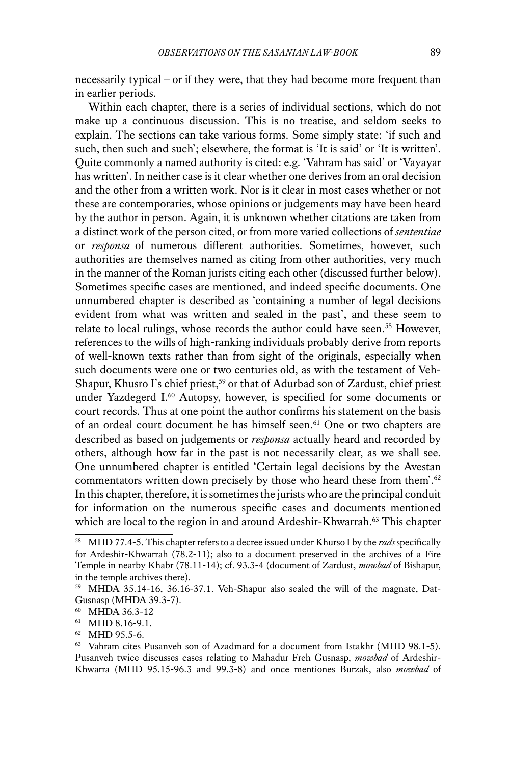necessarily typical – or if they were, that they had become more frequent than in earlier periods.

Within each chapter, there is a series of individual sections, which do not make up a continuous discussion. This is no treatise, and seldom seeks to explain. The sections can take various forms. Some simply state: 'if such and such, then such and such'; elsewhere, the format is 'It is said' or 'It is written'. Quite commonly a named authority is cited: e.g. 'Vahram has said' or 'Vayayar has written'. In neither case is it clear whether one derives from an oral decision and the other from a written work. Nor is it clear in most cases whether or not these are contemporaries, whose opinions or judgements may have been heard by the author in person. Again, it is unknown whether citations are taken from a distinct work of the person cited, or from more varied collections of *sententiae* or *responsa* of numerous different authorities. Sometimes, however, such authorities are themselves named as citing from other authorities, very much in the manner of the Roman jurists citing each other (discussed further below). Sometimes specific cases are mentioned, and indeed specific documents. One unnumbered chapter is described as 'containing a number of legal decisions evident from what was written and sealed in the past', and these seem to relate to local rulings, whose records the author could have seen.<sup>58</sup> However, references to the wills of high-ranking individuals probably derive from reports of well-known texts rather than from sight of the originals, especially when such documents were one or two centuries old, as with the testament of Veh-Shapur, Khusro I's chief priest,<sup>59</sup> or that of Adurbad son of Zardust, chief priest under Yazdegerd I.<sup>60</sup> Autopsy, however, is specified for some documents or court records. Thus at one point the author confirms his statement on the basis of an ordeal court document he has himself seen.<sup>61</sup> One or two chapters are described as based on judgements or *responsa* actually heard and recorded by others, although how far in the past is not necessarily clear, as we shall see. One unnumbered chapter is entitled 'Certain legal decisions by the Avestan commentators written down precisely by those who heard these from them'.<sup>62</sup> In this chapter, therefore, it is sometimes the jurists who are the principal conduit for information on the numerous specific cases and documents mentioned which are local to the region in and around Ardeshir-Khwarrah.<sup>63</sup> This chapter

<sup>58</sup> MHD 77.4-5. This chapter refers to a decree issued under Khurso I by the *rads* specifically for Ardeshir-Khwarrah (78.2-11); also to a document preserved in the archives of a Fire Temple in nearby Khabr (78.11-14); cf. 93.3-4 (document of Zardust, *mowbad* of Bishapur, in the temple archives there).

<sup>59</sup> MHDA 35.14-16, 36.16-37.1. Veh-Shapur also sealed the will of the magnate, Dat-Gusnasp (MHDA 39.3-7).

<sup>60</sup> MHDA 36.3-12

<sup>61</sup> MHD 8.16-9.1.

<sup>62</sup> MHD 95.5-6.

 $63$  Vahram cites Pusanveh son of Azadmard for a document from Istakhr (MHD 98.1-5). Pusanveh twice discusses cases relating to Mahadur Freh Gusnasp, *mowbad* of Ardeshir-Khwarra (MHD 95.15-96.3 and 99.3-8) and once mentiones Burzak, also *mowbad* of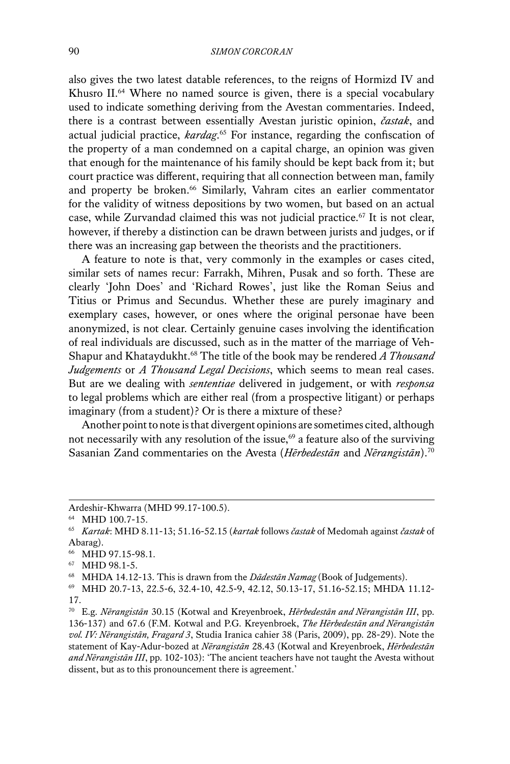also gives the two latest datable references, to the reigns of Hormizd IV and Khusro II.<sup>64</sup> Where no named source is given, there is a special vocabulary used to indicate something deriving from the Avestan commentaries. Indeed, there is a contrast between essentially Avestan juristic opinion, *častak*, and actual judicial practice, *kardag*. <sup>65</sup> For instance, regarding the confiscation of the property of a man condemned on a capital charge, an opinion was given that enough for the maintenance of his family should be kept back from it; but court practice was different, requiring that all connection between man, family and property be broken.<sup>66</sup> Similarly, Vahram cites an earlier commentator for the validity of witness depositions by two women, but based on an actual case, while Zurvandad claimed this was not judicial practice.<sup>67</sup> It is not clear, however, if thereby a distinction can be drawn between jurists and judges, or if there was an increasing gap between the theorists and the practitioners.

A feature to note is that, very commonly in the examples or cases cited, similar sets of names recur: Farrakh, Mihren, Pusak and so forth. These are clearly 'John Does' and 'Richard Rowes', just like the Roman Seius and Titius or Primus and Secundus. Whether these are purely imaginary and exemplary cases, however, or ones where the original personae have been anonymized, is not clear. Certainly genuine cases involving the identification of real individuals are discussed, such as in the matter of the marriage of Veh-Shapur and Khataydukht.68 The title of the book may be rendered *A Thousand Judgements* or *A Thousand Legal Decisions*, which seems to mean real cases. But are we dealing with *sententiae* delivered in judgement, or with *responsa* to legal problems which are either real (from a prospective litigant) or perhaps imaginary (from a student)? Or is there a mixture of these?

Another point to note is that divergent opinions are sometimes cited, although not necessarily with any resolution of the issue, $69$  a feature also of the surviving Sasanian Zand commentaries on the Avesta (*Hērbedestān* and *Nērangistān*).70

Ardeshir-Khwarra (MHD 99.17-100.5).

<sup>64</sup> MHD 100.7-15.

<sup>65</sup> *Kartak*: MHD 8.11-13; 51.16-52.15 (*kartak* follows *častak* of Medomah against *častak* of Abarag).

<sup>66</sup> MHD 97.15-98.1.

<sup>67</sup> MHD 98.1-5.

<sup>68</sup> MHDA 14.12-13. This is drawn from the *Dādestān Namag* (Book of Judgements).

<sup>69</sup> MHD 20.7-13, 22.5-6, 32.4-10, 42.5-9, 42.12, 50.13-17, 51.16-52.15; MHDA 11.12- 17.

<sup>70</sup> E.g. *Nērangistān* 30.15 (Kotwal and Kreyenbroek, *Hērbedestān and Nērangistān III*, pp. 136-137) and 67.6 (F.M. Kotwal and P.G. Kreyenbroek, *The Hērbedestān and Nērangistān vol. IV: Nērangistān, Fragard 3*, Studia Iranica cahier 38 (Paris, 2009), pp. 28-29). Note the statement of Kay-Adur-bozed at *Nērangistān* 28.43 (Kotwal and Kreyenbroek, *Hērbedestān and Nērangistān III*, pp. 102-103): 'The ancient teachers have not taught the Avesta without dissent, but as to this pronouncement there is agreement.'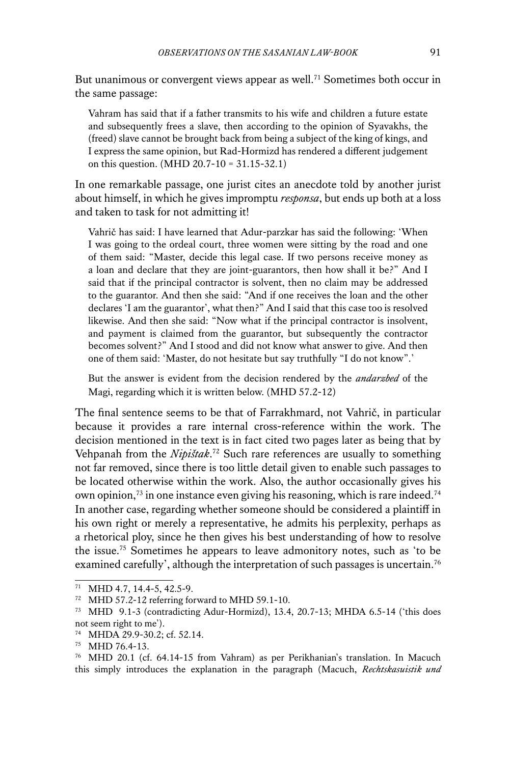But unanimous or convergent views appear as well.<sup>71</sup> Sometimes both occur in the same passage:

Vahram has said that if a father transmits to his wife and children a future estate and subsequently frees a slave, then according to the opinion of Syavakhs, the (freed) slave cannot be brought back from being a subject of the king of kings, and I express the same opinion, but Rad-Hormizd has rendered a different judgement on this question. (MHD 20.7-10 = 31.15-32.1)

In one remarkable passage, one jurist cites an anecdote told by another jurist about himself, in which he gives impromptu *responsa*, but ends up both at a loss and taken to task for not admitting it!

Vahrič has said: I have learned that Adur-parzkar has said the following: 'When I was going to the ordeal court, three women were sitting by the road and one of them said: "Master, decide this legal case. If two persons receive money as a loan and declare that they are joint-guarantors, then how shall it be?" And I said that if the principal contractor is solvent, then no claim may be addressed to the guarantor. And then she said: "And if one receives the loan and the other declares 'I am the guarantor', what then?" And I said that this case too is resolved likewise. And then she said: "Now what if the principal contractor is insolvent, and payment is claimed from the guarantor, but subsequently the contractor becomes solvent?" And I stood and did not know what answer to give. And then one of them said: 'Master, do not hesitate but say truthfully "I do not know".'

But the answer is evident from the decision rendered by the *andarzbed* of the Magi, regarding which it is written below. (MHD 57.2-12)

The final sentence seems to be that of Farrakhmard, not Vahrič, in particular because it provides a rare internal cross-reference within the work. The decision mentioned in the text is in fact cited two pages later as being that by Vehpanah from the *Nipištak*. 72 Such rare references are usually to something not far removed, since there is too little detail given to enable such passages to be located otherwise within the work. Also, the author occasionally gives his own opinion,<sup>73</sup> in one instance even giving his reasoning, which is rare indeed.<sup>74</sup> In another case, regarding whether someone should be considered a plaintiff in his own right or merely a representative, he admits his perplexity, perhaps as a rhetorical ploy, since he then gives his best understanding of how to resolve the issue.75 Sometimes he appears to leave admonitory notes, such as 'to be examined carefully', although the interpretation of such passages is uncertain.<sup>76</sup>

<sup>71</sup> MHD 4.7, 14.4-5, 42.5-9.

<sup>72</sup> MHD 57.2-12 referring forward to MHD 59.1-10.

<sup>73</sup> MHD 9.1-3 (contradicting Adur-Hormizd), 13.4, 20.7-13; MHDA 6.5-14 ('this does not seem right to me').

<sup>74</sup> MHDA 29.9-30.2; cf. 52.14.

<sup>75</sup> MHD 76.4-13.

<sup>76</sup> MHD 20.1 (cf. 64.14-15 from Vahram) as per Perikhanian's translation. In Macuch this simply introduces the explanation in the paragraph (Macuch, *Rechtskasuistik und*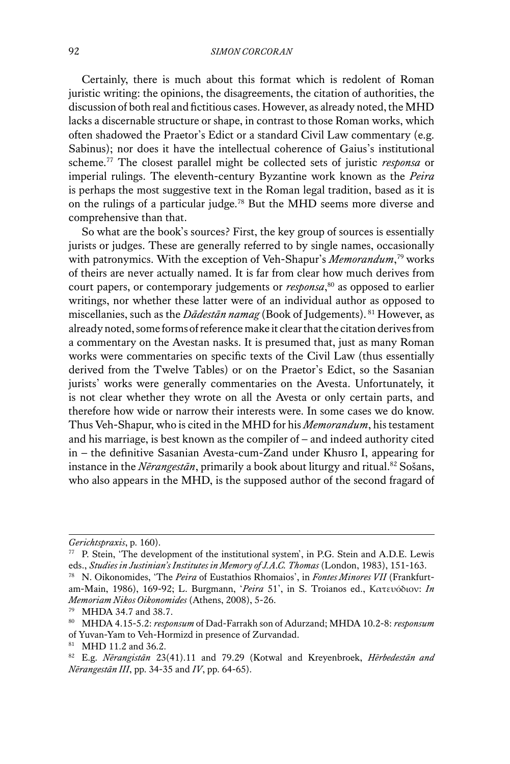Certainly, there is much about this format which is redolent of Roman juristic writing: the opinions, the disagreements, the citation of authorities, the discussion of both real and fictitious cases. However, as already noted, the MHD lacks a discernable structure or shape, in contrast to those Roman works, which often shadowed the Praetor's Edict or a standard Civil Law commentary (e.g. Sabinus); nor does it have the intellectual coherence of Gaius's institutional scheme.77 The closest parallel might be collected sets of juristic *responsa* or imperial rulings. The eleventh-century Byzantine work known as the *Peira* is perhaps the most suggestive text in the Roman legal tradition, based as it is on the rulings of a particular judge.78 But the MHD seems more diverse and comprehensive than that.

So what are the book's sources? First, the key group of sources is essentially jurists or judges. These are generally referred to by single names, occasionally with patronymics. With the exception of Veh-Shapur's *Memorandum*, <sup>79</sup> works of theirs are never actually named. It is far from clear how much derives from court papers, or contemporary judgements or *responsa*, 80 as opposed to earlier writings, nor whether these latter were of an individual author as opposed to miscellanies, such as the *Dādestān namag* (Book of Judgements). 81 However, as already noted, some forms of reference make it clear that the citation derives from a commentary on the Avestan nasks. It is presumed that, just as many Roman works were commentaries on specific texts of the Civil Law (thus essentially derived from the Twelve Tables) or on the Praetor's Edict, so the Sasanian jurists' works were generally commentaries on the Avesta. Unfortunately, it is not clear whether they wrote on all the Avesta or only certain parts, and therefore how wide or narrow their interests were. In some cases we do know. Thus Veh-Shapur, who is cited in the MHD for his *Memorandum*, his testament and his marriage, is best known as the compiler of – and indeed authority cited in – the definitive Sasanian Avesta-cum-Zand under Khusro I, appearing for instance in the *Nērangestān*, primarily a book about liturgy and ritual.<sup>82</sup> Sošans, who also appears in the MHD, is the supposed author of the second fragard of

*Gerichtspraxis*, p. 160).

<sup>77</sup> P. Stein, 'The development of the institutional system', in P.G. Stein and A.D.E. Lewis eds., *Studies in Justinian's Institutes in Memory of J.A.C. Thomas* (London, 1983), 151-163.

<sup>78</sup> N. Oikonomides, 'The *Peira* of Eustathios Rhomaios', in *Fontes Minores VII* (Frankfurtam-Main, 1986), 169-92; L. Burgmann, '*Peira* 51', in S. Troianos ed., Κατευόδιον: *In Memoriam Nikos Oikonomides* (Athens, 2008), 5-26.

<sup>79</sup> MHDA 34.7 and 38.7.

<sup>80</sup> MHDA 4.15-5.2: *responsum* of Dad-Farrakh son of Adurzand; MHDA 10.2-8: *responsum* of Yuvan-Yam to Veh-Hormizd in presence of Zurvandad.

<sup>81</sup> MHD 11.2 and 36.2.

<sup>82</sup> E.g. *Nērangistān* 23(41).11 and 79.29 (Kotwal and Kreyenbroek, *Hērbedestān and Nērangestān III*, pp. 34-35 and *IV*, pp. 64-65).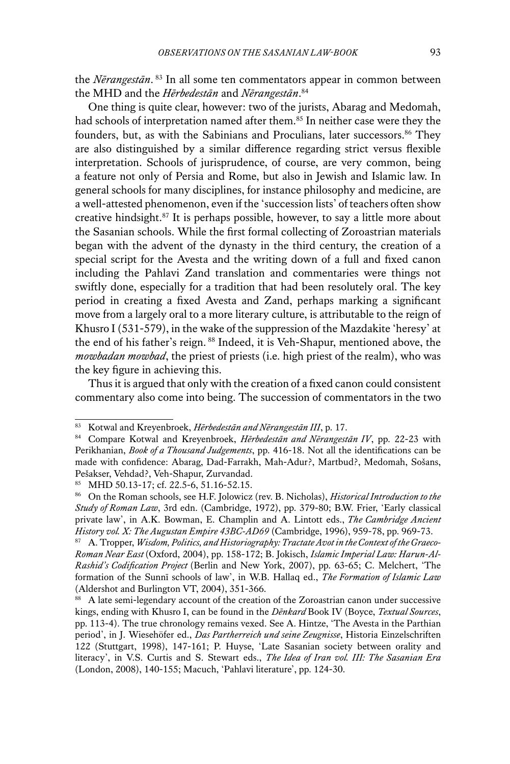the *Nērangestān*. 83 In all some ten commentators appear in common between the MHD and the *Hērbedestān* and *Nērangestān*. 84

One thing is quite clear, however: two of the jurists, Abarag and Medomah, had schools of interpretation named after them.<sup>85</sup> In neither case were they the founders, but, as with the Sabinians and Proculians, later successors.<sup>86</sup> They are also distinguished by a similar difference regarding strict versus flexible interpretation. Schools of jurisprudence, of course, are very common, being a feature not only of Persia and Rome, but also in Jewish and Islamic law. In general schools for many disciplines, for instance philosophy and medicine, are a well-attested phenomenon, even if the 'succession lists' of teachers often show creative hindsight.87 It is perhaps possible, however, to say a little more about the Sasanian schools. While the first formal collecting of Zoroastrian materials began with the advent of the dynasty in the third century, the creation of a special script for the Avesta and the writing down of a full and fixed canon including the Pahlavi Zand translation and commentaries were things not swiftly done, especially for a tradition that had been resolutely oral. The key period in creating a fixed Avesta and Zand, perhaps marking a significant move from a largely oral to a more literary culture, is attributable to the reign of Khusro I (531-579), in the wake of the suppression of the Mazdakite 'heresy' at the end of his father's reign. 88 Indeed, it is Veh-Shapur, mentioned above, the *mowbadan mowbad*, the priest of priests (i.e. high priest of the realm), who was the key figure in achieving this.

Thus it is argued that only with the creation of a fixed canon could consistent commentary also come into being. The succession of commentators in the two

<sup>83</sup> Kotwal and Kreyenbroek, *Hērbedestān and Nērangestān III*, p. 17.

<sup>84</sup> Compare Kotwal and Kreyenbroek, *Hērbedestān and Nērangestān IV*, pp. 22-23 with Perikhanian, *Book of a Thousand Judgements*, pp. 416-18. Not all the identifications can be made with confidence: Abarag, Dad-Farrakh, Mah-Adur?, Martbud?, Medomah, Sošans, Pešakser, Vehdad?, Veh-Shapur, Zurvandad.

<sup>85</sup> MHD 50.13-17; cf. 22.5-6, 51.16-52.15.

<sup>86</sup> On the Roman schools, see H.F. Jolowicz (rev. B. Nicholas), *Historical Introduction to the Study of Roman Law*, 3rd edn. (Cambridge, 1972), pp. 379-80; B.W. Frier, 'Early classical private law', in A.K. Bowman, E. Champlin and A. Lintott eds., *The Cambridge Ancient History vol. X: The Augustan Empire 43BC-AD69* (Cambridge, 1996), 959-78, pp. 969-73.

<sup>87</sup> A. Tropper, *Wisdom, Politics, and Historiography: Tractate Avot in the Context of the Graeco-Roman Near East* (Oxford, 2004), pp. 158-172; B. Jokisch, *Islamic Imperial Law: Harun-Al-Rashid's Codification Project* (Berlin and New York, 2007), pp. 63-65; C. Melchert, 'The formation of the Sunnī schools of law', in W.B. Hallaq ed., *The Formation of Islamic Law*  (Aldershot and Burlington VT, 2004), 351-366.

<sup>88</sup> A late semi-legendary account of the creation of the Zoroastrian canon under successive kings, ending with Khusro I, can be found in the *Dēnkard* Book IV (Boyce, *Textual Sources*, pp. 113-4). The true chronology remains vexed. See A. Hintze, 'The Avesta in the Parthian period', in J. Wiesehöfer ed., *Das Partherreich und seine Zeugnisse*, Historia Einzelschriften 122 (Stuttgart, 1998), 147-161; P. Huyse, 'Late Sasanian society between orality and literacy', in V.S. Curtis and S. Stewart eds., *The Idea of Iran vol. III: The Sasanian Era*  (London, 2008), 140-155; Macuch, 'Pahlavi literature', pp. 124-30.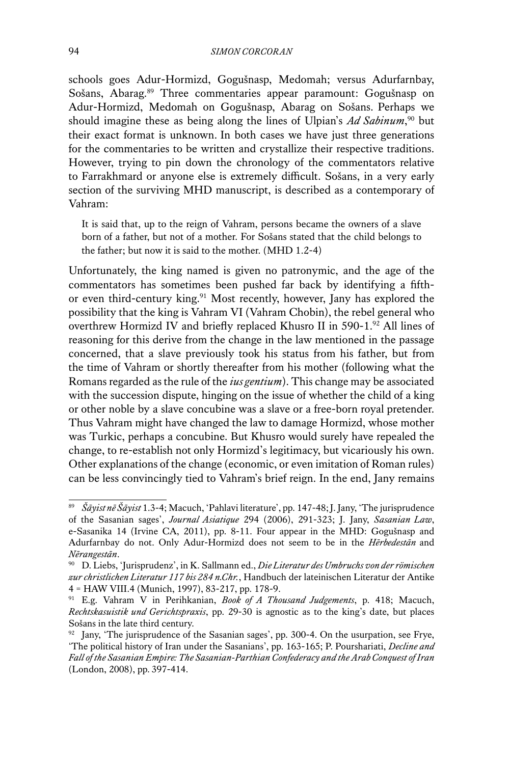schools goes Adur-Hormizd, Gogušnasp, Medomah; versus Adurfarnbay, Sošans, Abarag.89 Three commentaries appear paramount: Gogušnasp on Adur-Hormizd, Medomah on Gogušnasp, Abarag on Sošans. Perhaps we should imagine these as being along the lines of Ulpian's *Ad Sabinum*, 90 but their exact format is unknown. In both cases we have just three generations for the commentaries to be written and crystallize their respective traditions. However, trying to pin down the chronology of the commentators relative to Farrakhmard or anyone else is extremely difficult. Sošans, in a very early section of the surviving MHD manuscript, is described as a contemporary of Vahram:

It is said that, up to the reign of Vahram, persons became the owners of a slave born of a father, but not of a mother. For Sošans stated that the child belongs to the father; but now it is said to the mother. (MHD 1.2-4)

Unfortunately, the king named is given no patronymic, and the age of the commentators has sometimes been pushed far back by identifying a fifthor even third-century king.<sup>91</sup> Most recently, however, Jany has explored the possibility that the king is Vahram VI (Vahram Chobin), the rebel general who overthrew Hormizd IV and briefly replaced Khusro II in 590-1.92 All lines of reasoning for this derive from the change in the law mentioned in the passage concerned, that a slave previously took his status from his father, but from the time of Vahram or shortly thereafter from his mother (following what the Romans regarded as the rule of the *ius gentium*). This change may be associated with the succession dispute, hinging on the issue of whether the child of a king or other noble by a slave concubine was a slave or a free-born royal pretender. Thus Vahram might have changed the law to damage Hormizd, whose mother was Turkic, perhaps a concubine. But Khusro would surely have repealed the change, to re-establish not only Hormizd's legitimacy, but vicariously his own. Other explanations of the change (economic, or even imitation of Roman rules) can be less convincingly tied to Vahram's brief reign. In the end, Jany remains

<sup>89</sup> *Šāyist nē Šāyist* 1.3-4; Macuch, 'Pahlavi literature', pp. 147-48;J. Jany, 'The jurisprudence of the Sasanian sages', *Journal Asiatique* 294 (2006), 291-323; J. Jany, *Sasanian Law*, e-Sasanika 14 (Irvine CA, 2011), pp. 8-11. Four appear in the MHD: Gogušnasp and Adurfarnbay do not. Only Adur-Hormizd does not seem to be in the *Hērbedestān* and *Nērangestān*.

<sup>90</sup> D. Liebs, 'Jurisprudenz', in K. Sallmann ed., *Die Literatur des Umbruchs von der römischen zur christlichen Literatur 117 bis 284 n.Chr.*, Handbuch der lateinischen Literatur der Antike 4 = HAW VIII.4 (Munich, 1997), 83-217, pp. 178-9.

<sup>91</sup> E.g. Vahram V in Perihkanian, *Book of A Thousand Judgements*, p. 418; Macuch, *Rechtskasuistik und Gerichtspraxis*, pp. 29-30 is agnostic as to the king's date, but places Sošans in the late third century.

<sup>&</sup>lt;sup>92</sup> Jany, 'The jurisprudence of the Sasanian sages', pp. 300-4. On the usurpation, see Frye, 'The political history of Iran under the Sasanians', pp. 163-165; P. Pourshariati, *Decline and Fall of the Sasanian Empire: The Sasanian-Parthian Confederacy and the Arab Conquest of Iran*  (London, 2008), pp. 397-414.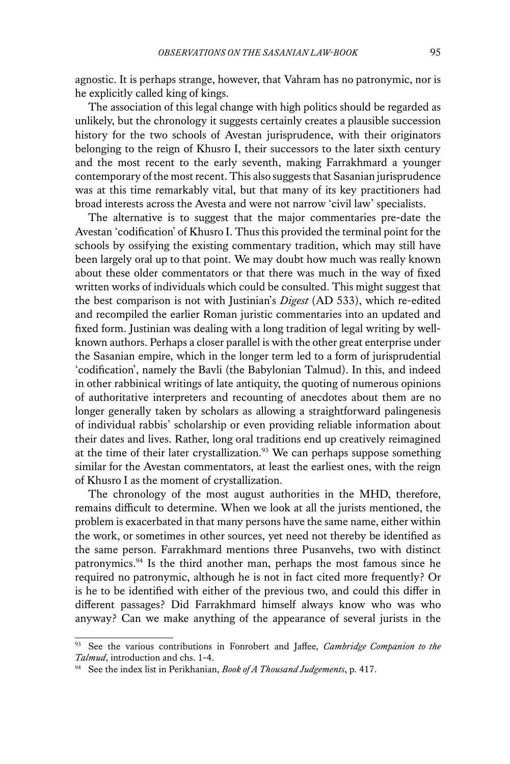agnostic. It is perhaps strange, however, that Vahram has no patronymic, nor is he explicitly called king of kings.

The association of this legal change with high politics should be regarded as unlikely, but the chronology it suggests certainly creates a plausible succession history for the two schools of Avestan jurisprudence, with their originators belonging to the reign of Khusro I, their successors to the later sixth century and the most recent to the early seventh, making Farrakhmard a younger contemporary of the most recent. This also suggests that Sasanian jurisprudence was at this time remarkably vital, but that many of its key practitioners had broad interests across the Avesta and were not narrow 'civil law' specialists.

The alternative is to suggest that the major commentaries pre-date the Avestan 'codification' of Khusro I. Thus this provided the terminal point for the schools by ossifying the existing commentary tradition, which may still have been largely oral up to that point. We may doubt how much was really known about these older commentators or that there was much in the way of fixed written works of individuals which could be consulted. This might suggest that the best comparison is not with Justinian's *Digest* (AD 533), which re-edited and recompiled the earlier Roman juristic commentaries into an updated and fixed form. Justinian was dealing with a long tradition of legal writing by wellknown authors. Perhaps a closer parallel is with the other great enterprise under the Sasanian empire, which in the longer term led to a form of jurisprudential 'codification', namely the Bavli (the Babylonian Talmud). In this, and indeed in other rabbinical writings of late antiquity, the quoting of numerous opinions of authoritative interpreters and recounting of anecdotes about them are no longer generally taken by scholars as allowing a straightforward palingenesis of individual rabbis' scholarship or even providing reliable information about their dates and lives. Rather, long oral traditions end up creatively reimagined at the time of their later crystallization.<sup>93</sup> We can perhaps suppose something similar for the Avestan commentators, at least the earliest ones, with the reign of Khusro I as the moment of crystallization.

The chronology of the most august authorities in the MHD, therefore, remains difficult to determine. When we look at all the jurists mentioned, the problem is exacerbated in that many persons have the same name, either within the work, or sometimes in other sources, yet need not thereby be identified as the same person. Farrakhmard mentions three Pusanvehs, two with distinct patronymics.94 Is the third another man, perhaps the most famous since he required no patronymic, although he is not in fact cited more frequently? Or is he to be identified with either of the previous two, and could this differ in different passages? Did Farrakhmard himself always know who was who anyway? Can we make anything of the appearance of several jurists in the

<sup>93</sup> See the various contributions in Fonrobert and Jaffee, *Cambridge Companion to the Talmud*, introduction and chs. 1-4.

<sup>94</sup> See the index list in Perikhanian, *Book of A Thousand Judgements*, p. 417.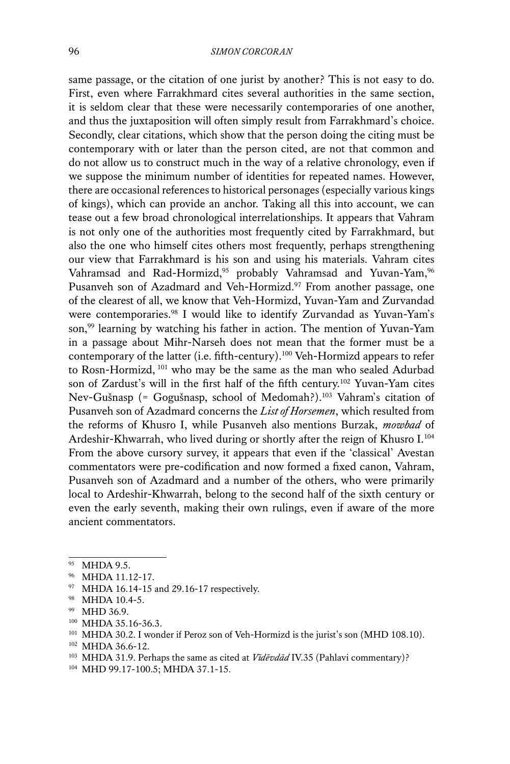same passage, or the citation of one jurist by another? This is not easy to do. First, even where Farrakhmard cites several authorities in the same section, it is seldom clear that these were necessarily contemporaries of one another, and thus the juxtaposition will often simply result from Farrakhmard's choice. Secondly, clear citations, which show that the person doing the citing must be contemporary with or later than the person cited, are not that common and do not allow us to construct much in the way of a relative chronology, even if we suppose the minimum number of identities for repeated names. However, there are occasional references to historical personages (especially various kings of kings), which can provide an anchor. Taking all this into account, we can tease out a few broad chronological interrelationships. It appears that Vahram is not only one of the authorities most frequently cited by Farrakhmard, but also the one who himself cites others most frequently, perhaps strengthening our view that Farrakhmard is his son and using his materials. Vahram cites Vahramsad and Rad-Hormizd,<sup>95</sup> probably Vahramsad and Yuvan-Yam,<sup>96</sup> Pusanveh son of Azadmard and Veh-Hormizd.<sup>97</sup> From another passage, one of the clearest of all, we know that Veh-Hormizd, Yuvan-Yam and Zurvandad were contemporaries.<sup>98</sup> I would like to identify Zurvandad as Yuvan-Yam's son,<sup>99</sup> learning by watching his father in action. The mention of Yuvan-Yam in a passage about Mihr-Narseh does not mean that the former must be a contemporary of the latter (i.e. fifth-century).100 Veh-Hormizd appears to refer to Rosn-Hormizd, <sup>101</sup> who may be the same as the man who sealed Adurbad son of Zardust's will in the first half of the fifth century.<sup>102</sup> Yuvan-Yam cites Nev-Gušnasp (= Gogušnasp, school of Medomah?).103 Vahram's citation of Pusanveh son of Azadmard concerns the *List of Horsemen*, which resulted from the reforms of Khusro I, while Pusanveh also mentions Burzak, *mowbad* of Ardeshir-Khwarrah, who lived during or shortly after the reign of Khusro I.104 From the above cursory survey, it appears that even if the 'classical' Avestan commentators were pre-codification and now formed a fixed canon, Vahram, Pusanveh son of Azadmard and a number of the others, who were primarily local to Ardeshir-Khwarrah, belong to the second half of the sixth century or even the early seventh, making their own rulings, even if aware of the more ancient commentators.

<sup>97</sup> MHDA 16.14-15 and 29.16-17 respectively.

 $102$  MHDA 36.6-12.

<sup>95</sup> MHDA 9.5.

<sup>96</sup> MHDA 11.12-17.

<sup>98</sup> MHDA 10.4-5.

<sup>99</sup> MHD 36.9.

<sup>100</sup> MHDA 35.16-36.3.

<sup>101</sup> MHDA 30.2. I wonder if Peroz son of Veh-Hormizd is the jurist's son (MHD 108.10).

<sup>103</sup> MHDA 31.9. Perhaps the same as cited at *Vīdēvdād* IV.35 (Pahlavi commentary)?

<sup>104</sup> MHD 99.17-100.5; MHDA 37.1-15.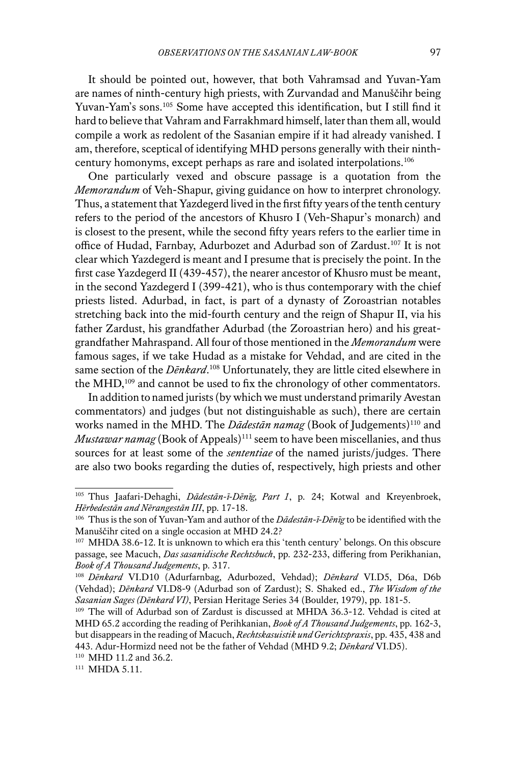It should be pointed out, however, that both Vahramsad and Yuvan-Yam are names of ninth-century high priests, with Zurvandad and Manuščihr being Yuvan-Yam's sons.105 Some have accepted this identification, but I still find it hard to believe that Vahram and Farrakhmard himself, later than them all, would compile a work as redolent of the Sasanian empire if it had already vanished. I am, therefore, sceptical of identifying MHD persons generally with their ninthcentury homonyms, except perhaps as rare and isolated interpolations.106

One particularly vexed and obscure passage is a quotation from the *Memorandum* of Veh-Shapur, giving guidance on how to interpret chronology. Thus, a statement that Yazdegerd lived in the first fifty years of the tenth century refers to the period of the ancestors of Khusro I (Veh-Shapur's monarch) and is closest to the present, while the second fifty years refers to the earlier time in office of Hudad, Farnbay, Adurbozet and Adurbad son of Zardust.107 It is not clear which Yazdegerd is meant and I presume that is precisely the point. In the first case Yazdegerd II (439-457), the nearer ancestor of Khusro must be meant, in the second Yazdegerd I (399-421), who is thus contemporary with the chief priests listed. Adurbad, in fact, is part of a dynasty of Zoroastrian notables stretching back into the mid-fourth century and the reign of Shapur II, via his father Zardust, his grandfather Adurbad (the Zoroastrian hero) and his greatgrandfather Mahraspand. All four of those mentioned in the *Memorandum* were famous sages, if we take Hudad as a mistake for Vehdad, and are cited in the same section of the *Dēnkard*. 108 Unfortunately, they are little cited elsewhere in the MHD,<sup>109</sup> and cannot be used to fix the chronology of other commentators.

In addition to named jurists (by which we must understand primarily Avestan commentators) and judges (but not distinguishable as such), there are certain works named in the MHD. The *Dādestān namag* (Book of Judgements)<sup>110</sup> and *Mustawar namag* (Book of Appeals)<sup>111</sup> seem to have been miscellanies, and thus sources for at least some of the *sententiae* of the named jurists/judges. There are also two books regarding the duties of, respectively, high priests and other

<sup>111</sup> MHDA 5.11.

<sup>105</sup> Thus Jaafari-Dehaghi, *Dādestān-ī-Dēnīg, Part 1*, p. 24; Kotwal and Kreyenbroek, *Hērbedestān and Nērangestān III*, pp. 17-18.

<sup>106</sup> Thus is the son of Yuvan-Yam and author of the *Dādestān-ī-Dēnīg* to be identified with the Manuščihr cited on a single occasion at MHD 24.2?

<sup>107</sup> MHDA 38.6-12. It is unknown to which era this 'tenth century' belongs. On this obscure passage, see Macuch, *Das sasanidische Rechtsbuch*, pp. 232-233, differing from Perikhanian, *Book of A Thousand Judgements*, p. 317.

<sup>108</sup> *Dēnkard* VI.D10 (Adurfarnbag, Adurbozed, Vehdad); *Dēnkard* VI.D5, D6a, D6b (Vehdad); *Dēnkard* VI.D8-9 (Adurbad son of Zardust); S. Shaked ed., *The Wisdom of the Sasanian Sages (Dēnkard VI)*, Persian Heritage Series 34 (Boulder, 1979), pp. 181-5.

<sup>&</sup>lt;sup>109</sup> The will of Adurbad son of Zardust is discussed at MHDA 36.3-12. Vehdad is cited at MHD 65.2 according the reading of Perihkanian, *Book of A Thousand Judgements*, pp. 162-3, but disappears in the reading of Macuch, *Rechtskasuistik und Gerichtspraxis*, pp. 435, 438 and 443. Adur-Hormizd need not be the father of Vehdad (MHD 9.2; *Dēnkard* VI.D5).

<sup>110</sup> MHD 11.2 and 36.2.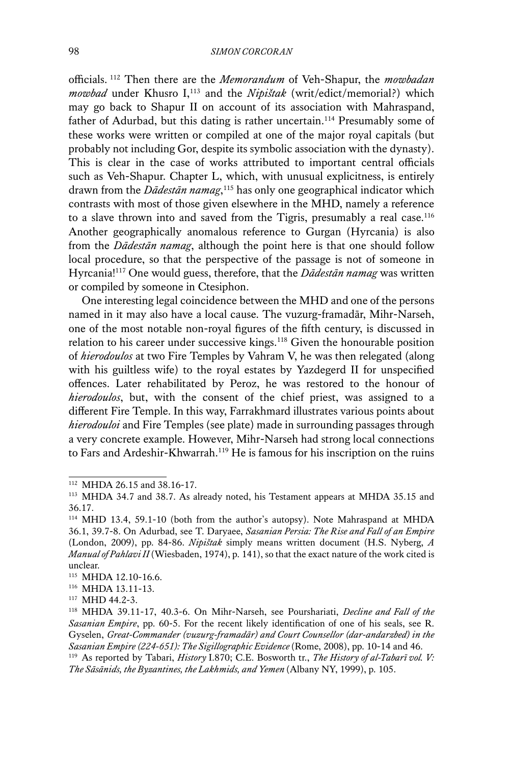officials. 112 Then there are the *Memorandum* of Veh-Shapur, the *mowbadan mowbad* under Khusro I,<sup>113</sup> and the *Nipištak* (writ/edict/memorial?) which may go back to Shapur II on account of its association with Mahraspand, father of Adurbad, but this dating is rather uncertain.<sup>114</sup> Presumably some of these works were written or compiled at one of the major royal capitals (but probably not including Gor, despite its symbolic association with the dynasty). This is clear in the case of works attributed to important central officials such as Veh-Shapur. Chapter L, which, with unusual explicitness, is entirely drawn from the *Dādestān namag*, 115 has only one geographical indicator which contrasts with most of those given elsewhere in the MHD, namely a reference to a slave thrown into and saved from the Tigris, presumably a real case.<sup>116</sup> Another geographically anomalous reference to Gurgan (Hyrcania) is also from the *Dādestān namag*, although the point here is that one should follow local procedure, so that the perspective of the passage is not of someone in Hyrcania!117 One would guess, therefore, that the *Dādestān namag* was written or compiled by someone in Ctesiphon.

One interesting legal coincidence between the MHD and one of the persons named in it may also have a local cause. The vuzurg-framadār, Mihr-Narseh, one of the most notable non-royal figures of the fifth century, is discussed in relation to his career under successive kings.<sup>118</sup> Given the honourable position of *hierodoulos* at two Fire Temples by Vahram V, he was then relegated (along with his guiltless wife) to the royal estates by Yazdegerd II for unspecified offences. Later rehabilitated by Peroz, he was restored to the honour of *hierodoulos*, but, with the consent of the chief priest, was assigned to a different Fire Temple. In this way, Farrakhmard illustrates various points about *hierodouloi* and Fire Temples (see plate) made in surrounding passages through a very concrete example. However, Mihr-Narseh had strong local connections to Fars and Ardeshir-Khwarrah.<sup>119</sup> He is famous for his inscription on the ruins

<sup>112</sup> MHDA 26.15 and 38.16-17.

<sup>113</sup> MHDA 34.7 and 38.7. As already noted, his Testament appears at MHDA 35.15 and 36.17.

<sup>114</sup> MHD 13.4, 59.1-10 (both from the author's autopsy). Note Mahraspand at MHDA 36.1, 39.7-8. On Adurbad, see T. Daryaee, *Sasanian Persia: The Rise and Fall of an Empire*  (London, 2009), pp. 84-86. *Nipištak* simply means written document (H.S. Nyberg, *A Manual of Pahlavi II* (Wiesbaden, 1974), p. 141), so that the exact nature of the work cited is unclear.

<sup>115</sup> MHDA 12.10-16.6.

<sup>116</sup> MHDA 13.11-13.

<sup>117</sup> MHD 44.2-3.

<sup>118</sup> MHDA 39.11-17, 40.3-6. On Mihr-Narseh, see Pourshariati, *Decline and Fall of the Sasanian Empire*, pp. 60-5. For the recent likely identification of one of his seals, see R. Gyselen, *Great-Commander (vuzurg-framadār) and Court Counsellor (dar-andarzbed) in the Sasanian Empire (224-651): The Sigillographic Evidence* (Rome, 2008), pp. 10-14 and 46.

<sup>119</sup> As reported by Tabari, *History* I.870; C.E. Bosworth tr., *The History of al-Tabarī vol. V: The Sāsānids, the Byzantines, the Lakhmids, and Yemen* (Albany NY, 1999), p. 105.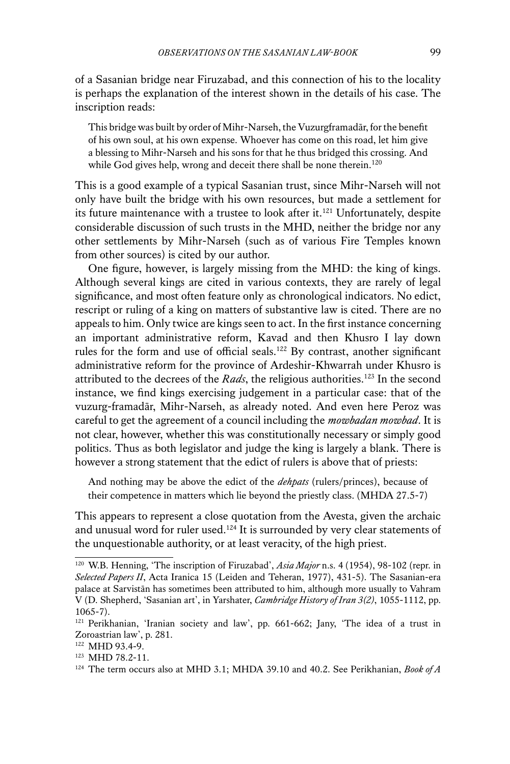of a Sasanian bridge near Firuzabad, and this connection of his to the locality is perhaps the explanation of the interest shown in the details of his case. The inscription reads:

This bridge was built by order of Mihr-Narseh, the Vuzurgframadār, for the benefit of his own soul, at his own expense. Whoever has come on this road, let him give a blessing to Mihr-Narseh and his sons for that he thus bridged this crossing. And while God gives help, wrong and deceit there shall be none therein.<sup>120</sup>

This is a good example of a typical Sasanian trust, since Mihr-Narseh will not only have built the bridge with his own resources, but made a settlement for its future maintenance with a trustee to look after it.<sup>121</sup> Unfortunately, despite considerable discussion of such trusts in the MHD, neither the bridge nor any other settlements by Mihr-Narseh (such as of various Fire Temples known from other sources) is cited by our author.

One figure, however, is largely missing from the MHD: the king of kings. Although several kings are cited in various contexts, they are rarely of legal significance, and most often feature only as chronological indicators. No edict, rescript or ruling of a king on matters of substantive law is cited. There are no appeals to him. Only twice are kings seen to act. In the first instance concerning an important administrative reform, Kavad and then Khusro I lay down rules for the form and use of official seals.<sup>122</sup> By contrast, another significant administrative reform for the province of Ardeshir-Khwarrah under Khusro is attributed to the decrees of the *Rads*, the religious authorities.123 In the second instance, we find kings exercising judgement in a particular case: that of the vuzurg-framadār, Mihr-Narseh, as already noted. And even here Peroz was careful to get the agreement of a council including the *mowbadan mowbad*. It is not clear, however, whether this was constitutionally necessary or simply good politics. Thus as both legislator and judge the king is largely a blank. There is however a strong statement that the edict of rulers is above that of priests:

And nothing may be above the edict of the *dehpats* (rulers/princes), because of their competence in matters which lie beyond the priestly class. (MHDA 27.5-7)

This appears to represent a close quotation from the Avesta, given the archaic and unusual word for ruler used.<sup>124</sup> It is surrounded by very clear statements of the unquestionable authority, or at least veracity, of the high priest.

<sup>120</sup> W.B. Henning, 'The inscription of Firuzabad', *Asia Major* n.s. 4 (1954), 98-102 (repr. in *Selected Papers II*, Acta Iranica 15 (Leiden and Teheran, 1977), 431-5). The Sasanian-era palace at Sarvistān has sometimes been attributed to him, although more usually to Vahram V (D. Shepherd, 'Sasanian art', in Yarshater, *Cambridge History of Iran 3(2)*, 1055-1112, pp. 1065-7).

<sup>121</sup> Perikhanian, 'Iranian society and law', pp. 661-662; Jany, 'The idea of a trust in Zoroastrian law', p. 281.

<sup>122</sup> MHD 93.4-9.

<sup>123</sup> MHD 78.2-11.

<sup>&</sup>lt;sup>124</sup> The term occurs also at MHD 3.1; MHDA 39.10 and 40.2. See Perikhanian, *Book of A*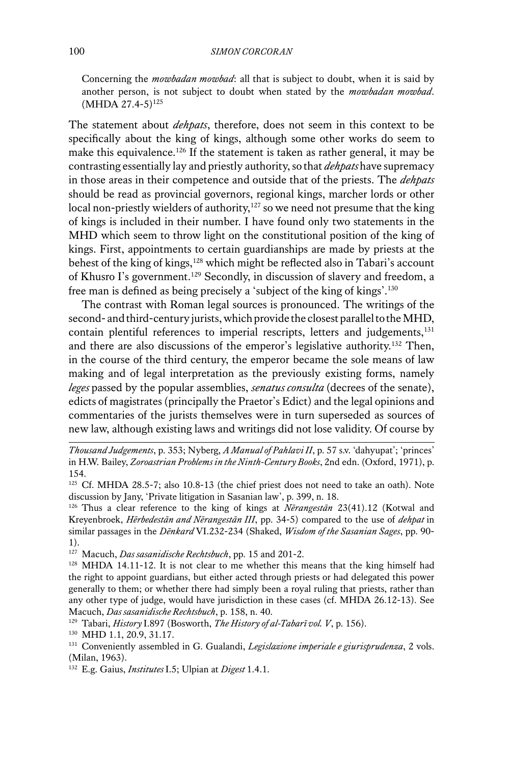Concerning the *mowbadan mowbad*: all that is subject to doubt, when it is said by another person, is not subject to doubt when stated by the *mowbadan mowbad*.  $(MHDA 27.4-5)^{125}$ 

The statement about *dehpats*, therefore, does not seem in this context to be specifically about the king of kings, although some other works do seem to make this equivalence.<sup>126</sup> If the statement is taken as rather general, it may be contrasting essentially lay and priestly authority, so that *dehpats* have supremacy in those areas in their competence and outside that of the priests. The *dehpats*  should be read as provincial governors, regional kings, marcher lords or other local non-priestly wielders of authority,<sup>127</sup> so we need not presume that the king of kings is included in their number. I have found only two statements in the MHD which seem to throw light on the constitutional position of the king of kings. First, appointments to certain guardianships are made by priests at the behest of the king of kings,<sup>128</sup> which might be reflected also in Tabari's account of Khusro I's government.129 Secondly, in discussion of slavery and freedom, a free man is defined as being precisely a 'subject of the king of kings'.<sup>130</sup>

The contrast with Roman legal sources is pronounced. The writings of the second- and third-century jurists, which provide the closest parallel to the MHD, contain plentiful references to imperial rescripts, letters and judgements,<sup>131</sup> and there are also discussions of the emperor's legislative authority.132 Then, in the course of the third century, the emperor became the sole means of law making and of legal interpretation as the previously existing forms, namely *leges* passed by the popular assemblies, *senatus consulta* (decrees of the senate), edicts of magistrates (principally the Praetor's Edict) and the legal opinions and commentaries of the jurists themselves were in turn superseded as sources of new law, although existing laws and writings did not lose validity. Of course by

*Thousand Judgements*, p. 353; Nyberg, *A Manual of Pahlavi II*, p. 57 s.v. 'dahyupat'; 'princes' in H.W. Bailey, *Zoroastrian Problems in the Ninth-Century Books*, 2nd edn. (Oxford, 1971), p. 154.

<sup>&</sup>lt;sup>125</sup> Cf. MHDA 28.5-7; also 10.8-13 (the chief priest does not need to take an oath). Note discussion by Jany, 'Private litigation in Sasanian law', p. 399, n. 18.

<sup>126</sup> Thus a clear reference to the king of kings at *Nērangestān* 23(41).12 (Kotwal and Kreyenbroek, *Hērbedestān and Nērangestān III*, pp. 34-5) compared to the use of *dehpat* in similar passages in the *Dēnkard* VI.232-234 (Shaked, *Wisdom of the Sasanian Sages*, pp. 90- 1).

<sup>127</sup> Macuch, *Das sasanidische Rechtsbuch*, pp. 15 and 201-2.

<sup>128</sup> MHDA 14.11-12. It is not clear to me whether this means that the king himself had the right to appoint guardians, but either acted through priests or had delegated this power generally to them; or whether there had simply been a royal ruling that priests, rather than any other type of judge, would have jurisdiction in these cases (cf. MHDA 26.12-13). See Macuch, *Das sasanidische Rechtsbuch*, p. 158, n. 40.

<sup>129</sup> Tabari, *History* I.897 (Bosworth, *The History of al-Tabarī vol. V*, p. 156).

<sup>130</sup> MHD 1.1, 20.9, 31.17.

<sup>131</sup> Conveniently assembled in G. Gualandi, *Legislazione imperiale e giurisprudenza*, 2 vols. (Milan, 1963).

<sup>132</sup> E.g. Gaius, *Institutes* I.5; Ulpian at *Digest* 1.4.1.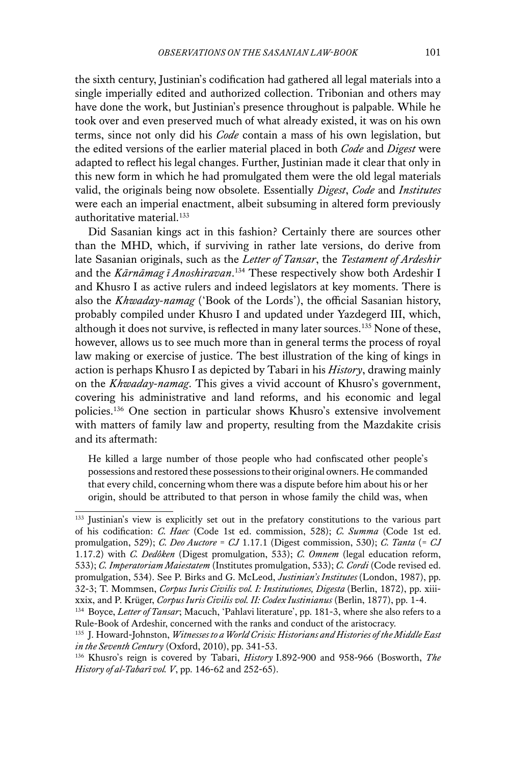the sixth century, Justinian's codification had gathered all legal materials into a single imperially edited and authorized collection. Tribonian and others may have done the work, but Justinian's presence throughout is palpable. While he took over and even preserved much of what already existed, it was on his own terms, since not only did his *Code* contain a mass of his own legislation, but the edited versions of the earlier material placed in both *Code* and *Digest* were adapted to reflect his legal changes. Further, Justinian made it clear that only in this new form in which he had promulgated them were the old legal materials valid, the originals being now obsolete. Essentially *Digest*, *Code* and *Institutes* were each an imperial enactment, albeit subsuming in altered form previously authoritative material.<sup>133</sup>

Did Sasanian kings act in this fashion? Certainly there are sources other than the MHD, which, if surviving in rather late versions, do derive from late Sasanian originals, such as the *Letter of Tansar*, the *Testament of Ardeshir* and the *Kārnāmag ī Anoshiravan*. 134 These respectively show both Ardeshir I and Khusro I as active rulers and indeed legislators at key moments. There is also the *Khwaday-namag* ('Book of the Lords'), the official Sasanian history, probably compiled under Khusro I and updated under Yazdegerd III, which, although it does not survive, is reflected in many later sources.135 None of these, however, allows us to see much more than in general terms the process of royal law making or exercise of justice. The best illustration of the king of kings in action is perhaps Khusro I as depicted by Tabari in his *History*, drawing mainly on the *Khwaday-namag*. This gives a vivid account of Khusro's government, covering his administrative and land reforms, and his economic and legal policies.136 One section in particular shows Khusro's extensive involvement with matters of family law and property, resulting from the Mazdakite crisis and its aftermath:

He killed a large number of those people who had confiscated other people's possessions and restored these possessions to their original owners. He commanded that every child, concerning whom there was a dispute before him about his or her origin, should be attributed to that person in whose family the child was, when

<sup>133</sup> Justinian's view is explicitly set out in the prefatory constitutions to the various part of his codification: *C. Haec* (Code 1st ed. commission, 528); *C. Summa* (Code 1st ed. promulgation, 529); *C. Deo Auctore* = *CJ* 1.17.1 (Digest commission, 530); *C. Tanta* (= *CJ* 1.17.2) with *C. Dedôken* (Digest promulgation, 533); *C. Omnem* (legal education reform, 533); *C. Imperatoriam Maiestatem* (Institutes promulgation, 533); *C. Cordi* (Code revised ed. promulgation, 534). See P. Birks and G. McLeod, *Justinian's Institutes* (London, 1987), pp. 32-3; T. Mommsen, *Corpus Iuris Civilis vol. I: Institutiones, Digesta* (Berlin, 1872), pp. xiiixxix, and P. Krüger, *Corpus Iuris Civilis vol. II: Codex Iustinianus* (Berlin, 1877), pp. 1-4.

<sup>134</sup> Boyce, *Letter of Tansar*; Macuch, 'Pahlavi literature', pp. 181-3, where she also refers to a Rule-Book of Ardeshir, concerned with the ranks and conduct of the aristocracy.

<sup>135</sup> J. Howard-Johnston, *Witnesses to a World Crisis: Historians and Histories of the Middle East in the Seventh Century* (Oxford, 2010), pp. 341-53.

<sup>136</sup> Khusro's reign is covered by Tabari, *History* I.892-900 and 958-966 (Bosworth, *The History of al-Tabarī vol. V*, pp. 146-62 and 252-65).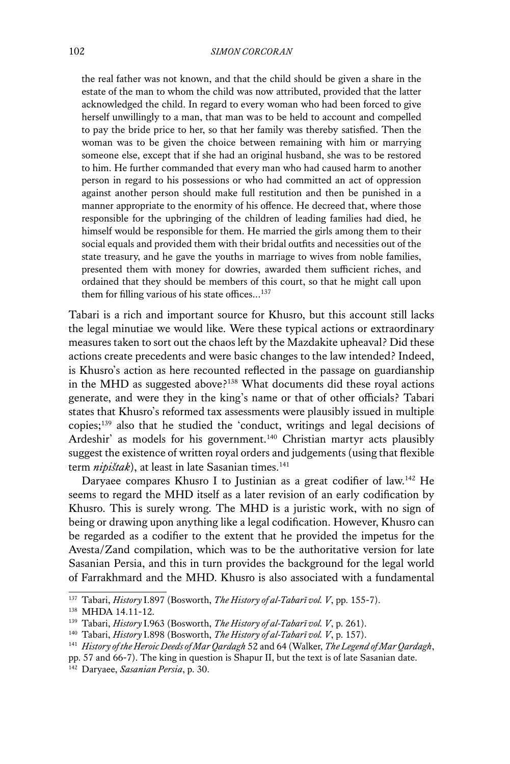the real father was not known, and that the child should be given a share in the estate of the man to whom the child was now attributed, provided that the latter acknowledged the child. In regard to every woman who had been forced to give herself unwillingly to a man, that man was to be held to account and compelled to pay the bride price to her, so that her family was thereby satisfied. Then the woman was to be given the choice between remaining with him or marrying someone else, except that if she had an original husband, she was to be restored to him. He further commanded that every man who had caused harm to another person in regard to his possessions or who had committed an act of oppression against another person should make full restitution and then be punished in a manner appropriate to the enormity of his offence. He decreed that, where those responsible for the upbringing of the children of leading families had died, he himself would be responsible for them. He married the girls among them to their social equals and provided them with their bridal outfits and necessities out of the state treasury, and he gave the youths in marriage to wives from noble families, presented them with money for dowries, awarded them sufficient riches, and ordained that they should be members of this court, so that he might call upon them for filling various of his state offices... $^{137}$ 

Tabari is a rich and important source for Khusro, but this account still lacks the legal minutiae we would like. Were these typical actions or extraordinary measures taken to sort out the chaos left by the Mazdakite upheaval? Did these actions create precedents and were basic changes to the law intended? Indeed, is Khusro's action as here recounted reflected in the passage on guardianship in the MHD as suggested above?138 What documents did these royal actions generate, and were they in the king's name or that of other officials? Tabari states that Khusro's reformed tax assessments were plausibly issued in multiple copies;139 also that he studied the 'conduct, writings and legal decisions of Ardeshir' as models for his government.<sup>140</sup> Christian martyr acts plausibly suggest the existence of written royal orders and judgements (using that flexible term *nipištak*), at least in late Sasanian times.<sup>141</sup>

Daryaee compares Khusro I to Justinian as a great codifier of law.<sup>142</sup> He seems to regard the MHD itself as a later revision of an early codification by Khusro. This is surely wrong. The MHD is a juristic work, with no sign of being or drawing upon anything like a legal codification. However, Khusro can be regarded as a codifier to the extent that he provided the impetus for the Avesta/Zand compilation, which was to be the authoritative version for late Sasanian Persia, and this in turn provides the background for the legal world of Farrakhmard and the MHD. Khusro is also associated with a fundamental

<sup>137</sup> Tabari, *History* I.897 (Bosworth, *The History of al-Tabarī vol. V*, pp. 155-7).

<sup>138</sup> MHDA 14.11-12.

<sup>139</sup> Tabari, *History* I.963 (Bosworth, *The History of al-Tabarī vol. V*, p. 261).

<sup>140</sup> Tabari, *History* I.898 (Bosworth, *The History of al-Tabarī vol. V*, p. 157).

<sup>141</sup> *History of the Heroic Deeds of Mar Qardagh* 52 and 64 (Walker, *The Legend of Mar Qardagh*,

pp. 57 and 66-7). The king in question is Shapur II, but the text is of late Sasanian date.

<sup>142</sup> Daryaee, *Sasanian Persia*, p. 30.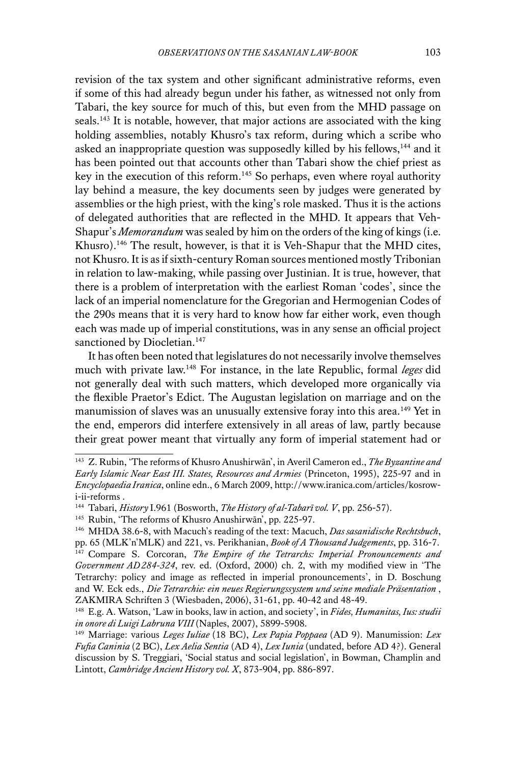revision of the tax system and other significant administrative reforms, even if some of this had already begun under his father, as witnessed not only from Tabari, the key source for much of this, but even from the MHD passage on seals.<sup>143</sup> It is notable, however, that major actions are associated with the king holding assemblies, notably Khusro's tax reform, during which a scribe who asked an inappropriate question was supposedly killed by his fellows,<sup>144</sup> and it has been pointed out that accounts other than Tabari show the chief priest as key in the execution of this reform.<sup>145</sup> So perhaps, even where royal authority lay behind a measure, the key documents seen by judges were generated by assemblies or the high priest, with the king's role masked. Thus it is the actions of delegated authorities that are reflected in the MHD. It appears that Veh-Shapur's *Memorandum* was sealed by him on the orders of the king of kings (i.e. Khusro).<sup>146</sup> The result, however, is that it is Veh-Shapur that the MHD cites, not Khusro. It is as if sixth-century Roman sources mentioned mostly Tribonian in relation to law-making, while passing over Justinian. It is true, however, that there is a problem of interpretation with the earliest Roman 'codes', since the lack of an imperial nomenclature for the Gregorian and Hermogenian Codes of the 290s means that it is very hard to know how far either work, even though each was made up of imperial constitutions, was in any sense an official project sanctioned by Diocletian.<sup>147</sup>

It has often been noted that legislatures do not necessarily involve themselves much with private law.148 For instance, in the late Republic, formal *leges* did not generally deal with such matters, which developed more organically via the flexible Praetor's Edict. The Augustan legislation on marriage and on the manumission of slaves was an unusually extensive foray into this area.<sup>149</sup> Yet in the end, emperors did interfere extensively in all areas of law, partly because their great power meant that virtually any form of imperial statement had or

<sup>143</sup> Z. Rubin, 'The reforms of Khusro Anushirwān', in Averil Cameron ed., *The Byzantine and Early Islamic Near East III. States, Resources and Armies* (Princeton, 1995), 225-97 and in *Encyclopaedia Iranica*, online edn., 6 March 2009, http://www.iranica.com/articles/kosrowi-ii-reforms .

<sup>144</sup> Tabari, *History* I.961 (Bosworth, *The History of al-Tabarī vol. V*, pp. 256-57).

<sup>145</sup> Rubin, 'The reforms of Khusro Anushirwān', pp. 225-97.

<sup>146</sup> MHDA 38.6-8, with Macuch's reading of the text: Macuch, *Das sasanidische Rechtsbuch*, pp. 65 (MLK'n'MLK) and 221, vs. Perikhanian, *Book of A Thousand Judgements*, pp. 316-7. <sup>147</sup> Compare S. Corcoran, *The Empire of the Tetrarchs: Imperial Pronouncements and Government AD 284-324*, rev. ed. (Oxford, 2000) ch. 2, with my modified view in 'The Tetrarchy: policy and image as reflected in imperial pronouncements', in D. Boschung and W. Eck eds., *Die Tetrarchie: ein neues Regierungssystem und seine mediale Präsentation* , ZAKMIRA Schriften 3 (Wiesbaden, 2006), 31-61, pp. 40-42 and 48-49.

<sup>148</sup> E.g. A. Watson, 'Law in books, law in action, and society', in *Fides, Humanitas, Ius: studii in onore di Luigi Labruna VIII* (Naples, 2007), 5899-5908.

<sup>149</sup> Marriage: various *Leges Iuliae* (18 BC), *Lex Papia Poppaea* (AD 9). Manumission: *Lex Fufia Caninia* (2 BC), *Lex Aelia Sentia* (AD 4), *Lex Iunia* (undated, before AD 4?). General discussion by S. Treggiari, 'Social status and social legislation', in Bowman, Champlin and Lintott, *Cambridge Ancient History vol. X*, 873-904, pp. 886-897.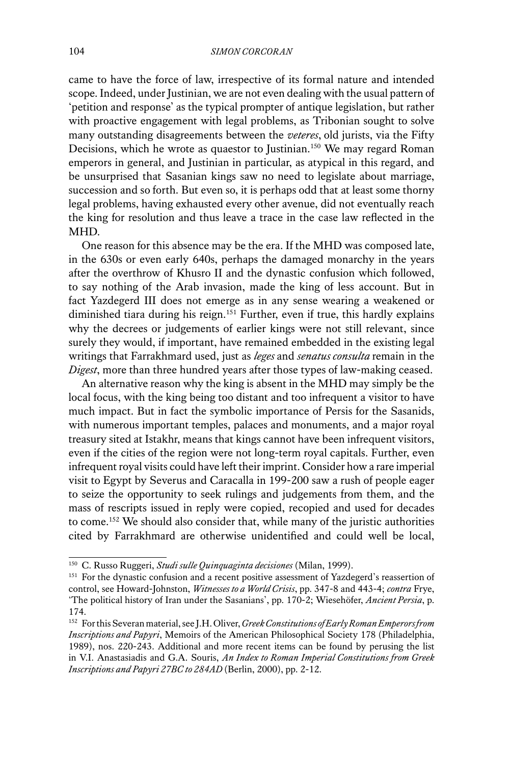came to have the force of law, irrespective of its formal nature and intended scope. Indeed, under Justinian, we are not even dealing with the usual pattern of 'petition and response' as the typical prompter of antique legislation, but rather with proactive engagement with legal problems, as Tribonian sought to solve many outstanding disagreements between the *veteres*, old jurists, via the Fifty Decisions, which he wrote as quaestor to Justinian.<sup>150</sup> We may regard Roman emperors in general, and Justinian in particular, as atypical in this regard, and be unsurprised that Sasanian kings saw no need to legislate about marriage, succession and so forth. But even so, it is perhaps odd that at least some thorny legal problems, having exhausted every other avenue, did not eventually reach the king for resolution and thus leave a trace in the case law reflected in the MHD.

One reason for this absence may be the era. If the MHD was composed late, in the 630s or even early 640s, perhaps the damaged monarchy in the years after the overthrow of Khusro II and the dynastic confusion which followed, to say nothing of the Arab invasion, made the king of less account. But in fact Yazdegerd III does not emerge as in any sense wearing a weakened or diminished tiara during his reign.151 Further, even if true, this hardly explains why the decrees or judgements of earlier kings were not still relevant, since surely they would, if important, have remained embedded in the existing legal writings that Farrakhmard used, just as *leges* and *senatus consulta* remain in the *Digest*, more than three hundred years after those types of law-making ceased.

An alternative reason why the king is absent in the MHD may simply be the local focus, with the king being too distant and too infrequent a visitor to have much impact. But in fact the symbolic importance of Persis for the Sasanids, with numerous important temples, palaces and monuments, and a major royal treasury sited at Istakhr, means that kings cannot have been infrequent visitors, even if the cities of the region were not long-term royal capitals. Further, even infrequent royal visits could have left their imprint. Consider how a rare imperial visit to Egypt by Severus and Caracalla in 199-200 saw a rush of people eager to seize the opportunity to seek rulings and judgements from them, and the mass of rescripts issued in reply were copied, recopied and used for decades to come.152 We should also consider that, while many of the juristic authorities cited by Farrakhmard are otherwise unidentified and could well be local,

<sup>150</sup> C. Russo Ruggeri, *Studi sulle Quinquaginta decisiones* (Milan, 1999).

<sup>&</sup>lt;sup>151</sup> For the dynastic confusion and a recent positive assessment of Yazdegerd's reassertion of control, see Howard-Johnston, *Witnesses to a World Crisis*, pp. 347-8 and 443-4; *contra* Frye, 'The political history of Iran under the Sasanians', pp. 170-2; Wiesehöfer, *Ancient Persia*, p. 174.

<sup>152</sup> For this Severan material, see J.H. Oliver, *Greek Constitutions of Early Roman Emperors from Inscriptions and Papyri*, Memoirs of the American Philosophical Society 178 (Philadelphia, 1989), nos. 220-243. Additional and more recent items can be found by perusing the list in V.I. Anastasiadis and G.A. Souris, *An Index to Roman Imperial Constitutions from Greek Inscriptions and Papyri 27 BC to 284 AD* (Berlin, 2000), pp. 2-12.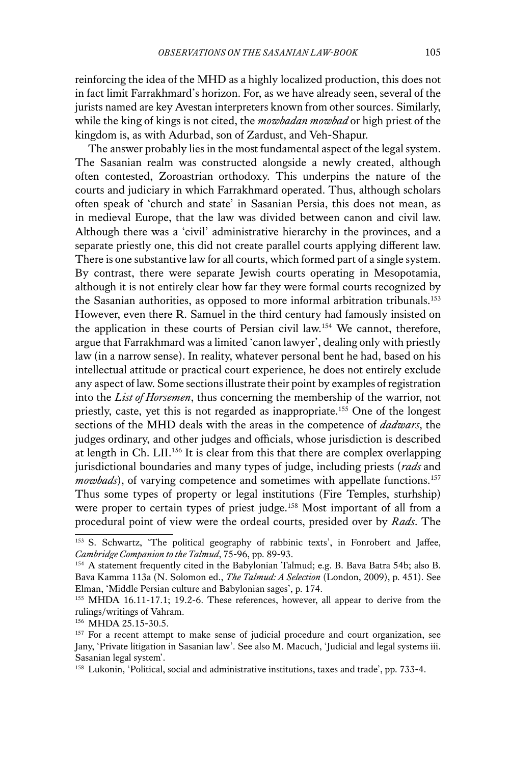reinforcing the idea of the MHD as a highly localized production, this does not in fact limit Farrakhmard's horizon. For, as we have already seen, several of the jurists named are key Avestan interpreters known from other sources. Similarly, while the king of kings is not cited, the *mowbadan mowbad* or high priest of the kingdom is, as with Adurbad, son of Zardust, and Veh-Shapur.

The answer probably lies in the most fundamental aspect of the legal system. The Sasanian realm was constructed alongside a newly created, although often contested, Zoroastrian orthodoxy. This underpins the nature of the courts and judiciary in which Farrakhmard operated. Thus, although scholars often speak of 'church and state' in Sasanian Persia, this does not mean, as in medieval Europe, that the law was divided between canon and civil law. Although there was a 'civil' administrative hierarchy in the provinces, and a separate priestly one, this did not create parallel courts applying different law. There is one substantive law for all courts, which formed part of a single system. By contrast, there were separate Jewish courts operating in Mesopotamia, although it is not entirely clear how far they were formal courts recognized by the Sasanian authorities, as opposed to more informal arbitration tribunals.<sup>153</sup> However, even there R. Samuel in the third century had famously insisted on the application in these courts of Persian civil law.154 We cannot, therefore, argue that Farrakhmard was a limited 'canon lawyer', dealing only with priestly law (in a narrow sense). In reality, whatever personal bent he had, based on his intellectual attitude or practical court experience, he does not entirely exclude any aspect of law. Some sections illustrate their point by examples of registration into the *List of Horsemen*, thus concerning the membership of the warrior, not priestly, caste, yet this is not regarded as inappropriate.155 One of the longest sections of the MHD deals with the areas in the competence of *dadwars*, the judges ordinary, and other judges and officials, whose jurisdiction is described at length in Ch. LII.156 It is clear from this that there are complex overlapping jurisdictional boundaries and many types of judge, including priests (*rads* and *mowbads*), of varying competence and sometimes with appellate functions.<sup>157</sup> Thus some types of property or legal institutions (Fire Temples, sturhship) were proper to certain types of priest judge.<sup>158</sup> Most important of all from a procedural point of view were the ordeal courts, presided over by *Rads*. The

<sup>153</sup> S. Schwartz, 'The political geography of rabbinic texts', in Fonrobert and Jaffee, *Cambridge Companion to the Talmud*, 75-96, pp. 89-93.

<sup>154</sup> A statement frequently cited in the Babylonian Talmud; e.g. B. Bava Batra 54b; also B. Bava Kamma 113a (N. Solomon ed., *The Talmud: A Selection* (London, 2009), p. 451). See Elman, 'Middle Persian culture and Babylonian sages', p. 174.

<sup>155</sup> MHDA 16.11-17.1; 19.2-6. These references, however, all appear to derive from the rulings/writings of Vahram.

<sup>156</sup> MHDA 25.15-30.5.

<sup>&</sup>lt;sup>157</sup> For a recent attempt to make sense of judicial procedure and court organization, see Jany, 'Private litigation in Sasanian law'. See also M. Macuch, 'Judicial and legal systems iii. Sasanian legal system'.

<sup>&</sup>lt;sup>158</sup> Lukonin, 'Political, social and administrative institutions, taxes and trade', pp. 733-4.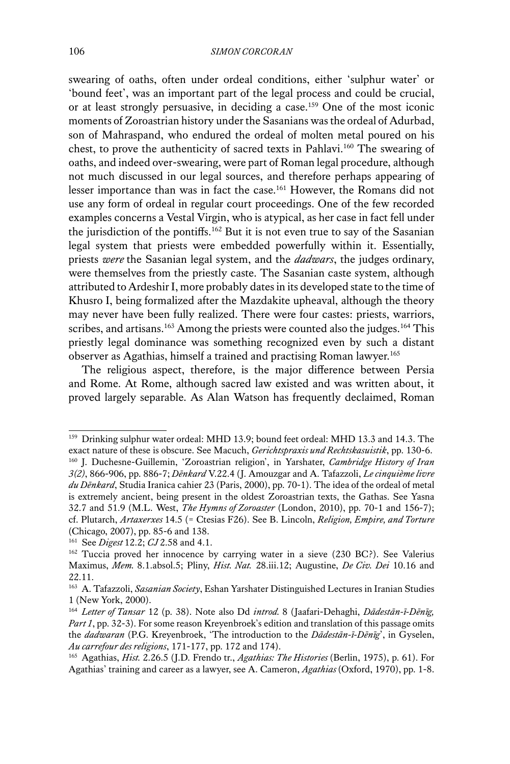swearing of oaths, often under ordeal conditions, either 'sulphur water' or 'bound feet', was an important part of the legal process and could be crucial, or at least strongly persuasive, in deciding a case.159 One of the most iconic moments of Zoroastrian history under the Sasanians was the ordeal of Adurbad, son of Mahraspand, who endured the ordeal of molten metal poured on his chest, to prove the authenticity of sacred texts in Pahlavi.160 The swearing of oaths, and indeed over-swearing, were part of Roman legal procedure, although not much discussed in our legal sources, and therefore perhaps appearing of lesser importance than was in fact the case.161 However, the Romans did not use any form of ordeal in regular court proceedings. One of the few recorded examples concerns a Vestal Virgin, who is atypical, as her case in fact fell under the jurisdiction of the pontiffs.162 But it is not even true to say of the Sasanian legal system that priests were embedded powerfully within it. Essentially, priests *were* the Sasanian legal system, and the *dadwars*, the judges ordinary, were themselves from the priestly caste. The Sasanian caste system, although attributed to Ardeshir I, more probably dates in its developed state to the time of Khusro I, being formalized after the Mazdakite upheaval, although the theory may never have been fully realized. There were four castes: priests, warriors, scribes, and artisans.<sup>163</sup> Among the priests were counted also the judges.<sup>164</sup> This priestly legal dominance was something recognized even by such a distant observer as Agathias, himself a trained and practising Roman lawyer.165

The religious aspect, therefore, is the major difference between Persia and Rome. At Rome, although sacred law existed and was written about, it proved largely separable. As Alan Watson has frequently declaimed, Roman

<sup>&</sup>lt;sup>159</sup> Drinking sulphur water ordeal: MHD 13.9; bound feet ordeal: MHD 13.3 and 14.3. The exact nature of these is obscure. See Macuch, *Gerichtspraxis und Rechtskasuistik*, pp. 130-6. <sup>160</sup> J. Duchesne-Guillemin, 'Zoroastrian religion', in Yarshater, *Cambridge History of Iran 3(2)*, 866-906, pp. 886-7; *Dēnkard* V.22.4 (J. Amouzgar and A. Tafazzoli, *Le cinquième livre du Dēnkard*, Studia Iranica cahier 23 (Paris, 2000), pp. 70-1). The idea of the ordeal of metal is extremely ancient, being present in the oldest Zoroastrian texts, the Gathas. See Yasna 32.7 and 51.9 (M.L. West, *The Hymns of Zoroaster* (London, 2010), pp. 70-1 and 156-7); cf. Plutarch, *Artaxerxes* 14.5 (= Ctesias F26). See B. Lincoln, *Religion, Empire, and Torture*  (Chicago, 2007), pp. 85-6 and 138.

<sup>161</sup> See *Digest* 12.2; *CJ* 2.58 and 4.1.

<sup>162</sup> Tuccia proved her innocence by carrying water in a sieve (230 BC?). See Valerius Maximus, *Mem.* 8.1.absol.5; Pliny, *Hist. Nat.* 28.iii.12; Augustine, *De Civ. Dei* 10.16 and 22.11.

<sup>163</sup> A. Tafazzoli, *Sasanian Society*, Eshan Yarshater Distinguished Lectures in Iranian Studies 1 (New York, 2000).

<sup>164</sup> *Letter of Tansar* 12 (p. 38). Note also Dd *introd.* 8 (Jaafari-Dehaghi, *Dādestān-ī-Dēnīg, Part 1*, pp. 32-3). For some reason Kreyenbroek's edition and translation of this passage omits the *dadwaran* (P.G. Kreyenbroek, 'The introduction to the *Dādestān-ī-Dēnīg*', in Gyselen, *Au carrefour des religions*, 171-177, pp. 172 and 174).

<sup>165</sup> Agathias, *Hist.* 2.26.5 (J.D. Frendo tr., *Agathias: The Histories* (Berlin, 1975), p. 61). For Agathias' training and career as a lawyer, see A. Cameron, *Agathias* (Oxford, 1970), pp. 1-8.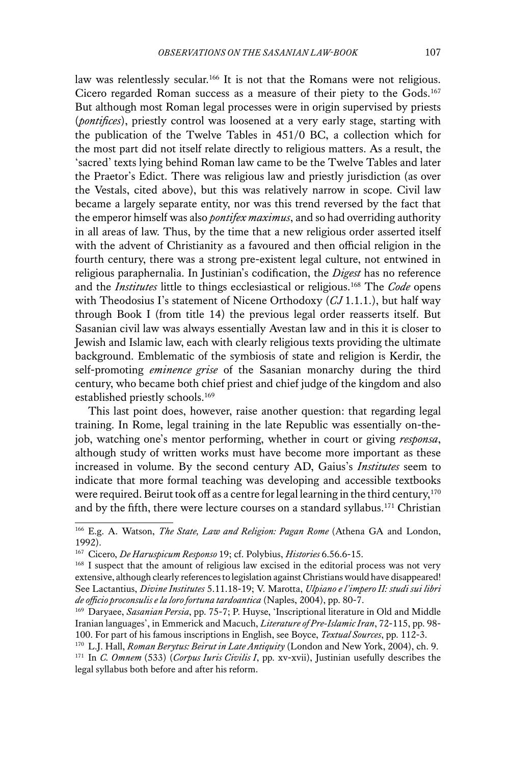law was relentlessly secular.<sup>166</sup> It is not that the Romans were not religious. Cicero regarded Roman success as a measure of their piety to the Gods.167 But although most Roman legal processes were in origin supervised by priests (*pontifices*), priestly control was loosened at a very early stage, starting with the publication of the Twelve Tables in 451/0 BC, a collection which for the most part did not itself relate directly to religious matters. As a result, the 'sacred' texts lying behind Roman law came to be the Twelve Tables and later the Praetor's Edict. There was religious law and priestly jurisdiction (as over the Vestals, cited above), but this was relatively narrow in scope. Civil law became a largely separate entity, nor was this trend reversed by the fact that the emperor himself was also *pontifex maximus*, and so had overriding authority in all areas of law. Thus, by the time that a new religious order asserted itself with the advent of Christianity as a favoured and then official religion in the fourth century, there was a strong pre-existent legal culture, not entwined in religious paraphernalia. In Justinian's codification, the *Digest* has no reference and the *Institutes* little to things ecclesiastical or religious.168 The *Code* opens with Theodosius I's statement of Nicene Orthodoxy (*CJ* 1.1.1.), but half way through Book I (from title 14) the previous legal order reasserts itself. But Sasanian civil law was always essentially Avestan law and in this it is closer to Jewish and Islamic law, each with clearly religious texts providing the ultimate background. Emblematic of the symbiosis of state and religion is Kerdir, the self-promoting *eminence grise* of the Sasanian monarchy during the third century, who became both chief priest and chief judge of the kingdom and also established priestly schools.<sup>169</sup>

This last point does, however, raise another question: that regarding legal training. In Rome, legal training in the late Republic was essentially on-thejob, watching one's mentor performing, whether in court or giving *responsa*, although study of written works must have become more important as these increased in volume. By the second century AD, Gaius's *Institutes* seem to indicate that more formal teaching was developing and accessible textbooks were required. Beirut took off as a centre for legal learning in the third century,  $170$ and by the fifth, there were lecture courses on a standard syllabus.<sup>171</sup> Christian

<sup>166</sup> E.g. A. Watson, *The State, Law and Religion: Pagan Rome* (Athena GA and London, 1992).

<sup>167</sup> Cicero, *De Haruspicum Responso* 19; cf. Polybius, *Histories* 6.56.6-15.

<sup>168</sup> I suspect that the amount of religious law excised in the editorial process was not very extensive, although clearly references to legislation against Christians would have disappeared! See Lactantius, *Divine Institutes* 5.11.18-19; V. Marotta, *Ulpiano e l'impero II: studi sui libri de officio proconsulis e la loro fortuna tardoantica* (Naples, 2004), pp. 80-7.

<sup>169</sup> Daryaee, *Sasanian Persia*, pp. 75-7; P. Huyse, 'Inscriptional literature in Old and Middle Iranian languages', in Emmerick and Macuch, *Literature of Pre-Islamic Iran*, 72-115, pp. 98- 100. For part of his famous inscriptions in English, see Boyce, *Textual Sources*, pp. 112-3.

<sup>170</sup> L.J. Hall, *Roman Berytus: Beirut in Late Antiquity* (London and New York, 2004), ch. 9. <sup>171</sup> In *C. Omnem* (533) (*Corpus Iuris Civilis I*, pp. xv-xvii), Justinian usefully describes the legal syllabus both before and after his reform.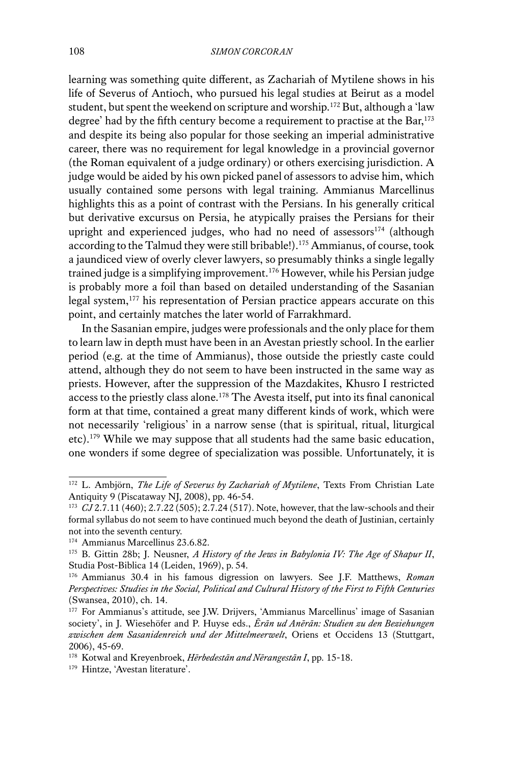learning was something quite different, as Zachariah of Mytilene shows in his life of Severus of Antioch, who pursued his legal studies at Beirut as a model student, but spent the weekend on scripture and worship.172 But, although a 'law degree' had by the fifth century become a requirement to practise at the Bar,<sup>173</sup> and despite its being also popular for those seeking an imperial administrative career, there was no requirement for legal knowledge in a provincial governor (the Roman equivalent of a judge ordinary) or others exercising jurisdiction. A judge would be aided by his own picked panel of assessors to advise him, which usually contained some persons with legal training. Ammianus Marcellinus highlights this as a point of contrast with the Persians. In his generally critical but derivative excursus on Persia, he atypically praises the Persians for their upright and experienced judges, who had no need of assessors $174$  (although according to the Talmud they were still bribable!).175 Ammianus, of course, took a jaundiced view of overly clever lawyers, so presumably thinks a single legally trained judge is a simplifying improvement.<sup>176</sup> However, while his Persian judge is probably more a foil than based on detailed understanding of the Sasanian legal system,<sup>177</sup> his representation of Persian practice appears accurate on this point, and certainly matches the later world of Farrakhmard.

In the Sasanian empire, judges were professionals and the only place for them to learn law in depth must have been in an Avestan priestly school. In the earlier period (e.g. at the time of Ammianus), those outside the priestly caste could attend, although they do not seem to have been instructed in the same way as priests. However, after the suppression of the Mazdakites, Khusro I restricted access to the priestly class alone.<sup>178</sup> The Avesta itself, put into its final canonical form at that time, contained a great many different kinds of work, which were not necessarily 'religious' in a narrow sense (that is spiritual, ritual, liturgical etc).179 While we may suppose that all students had the same basic education, one wonders if some degree of specialization was possible. Unfortunately, it is

<sup>172</sup> L. Ambjörn, *The Life of Severus by Zachariah of Mytilene*, Texts From Christian Late Antiquity 9 (Piscataway NJ, 2008), pp. 46-54.

<sup>173</sup> *CJ* 2.7.11 (460); 2.7.22 (505); 2.7.24 (517). Note, however, that the law-schools and their formal syllabus do not seem to have continued much beyond the death of Justinian, certainly not into the seventh century.

<sup>174</sup> Ammianus Marcellinus 23.6.82.

<sup>175</sup> B. Gittin 28b; J. Neusner, *A History of the Jews in Babylonia IV: The Age of Shapur II*, Studia Post-Biblica 14 (Leiden, 1969), p. 54.

<sup>176</sup> Ammianus 30.4 in his famous digression on lawyers. See J.F. Matthews, *Roman Perspectives: Studies in the Social, Political and Cultural History of the First to Fifth Centuries*  (Swansea, 2010), ch. 14.

<sup>&</sup>lt;sup>177</sup> For Ammianus's attitude, see J.W. Drijvers, 'Ammianus Marcellinus' image of Sasanian society', in J. Wiesehöfer and P. Huyse eds., *Ērān ud Anērān: Studien zu den Beziehungen zwischen dem Sasanidenreich und der Mittelmeerwelt*, Oriens et Occidens 13 (Stuttgart, 2006), 45-69.

<sup>178</sup> Kotwal and Kreyenbroek, *Hērbedestān and Nērangestān I*, pp. 15-18.

<sup>179</sup> Hintze, 'Avestan literature'.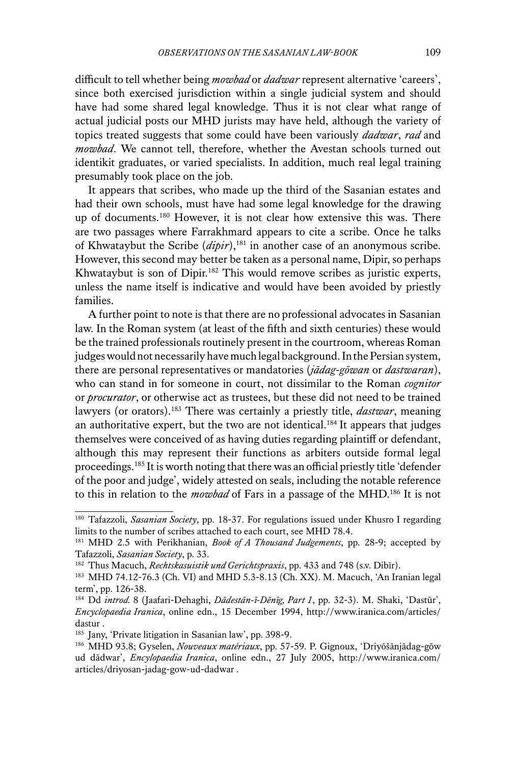difficult to tell whether being *mowbad* or *dadwar* represent alternative 'careers', since both exercised jurisdiction within a single judicial system and should have had some shared legal knowledge. Thus it is not clear what range of actual judicial posts our MHD jurists may have held, although the variety of topics treated suggests that some could have been variously *dadwar*, *rad* and *mowbad*. We cannot tell, therefore, whether the Avestan schools turned out identikit graduates, or varied specialists. In addition, much real legal training presumably took place on the job.

It appears that scribes, who made up the third of the Sasanian estates and had their own schools, must have had some legal knowledge for the drawing up of documents.<sup>180</sup> However, it is not clear how extensive this was. There are two passages where Farrakhmard appears to cite a scribe. Once he talks of Khwataybut the Scribe (*dipir*),181 in another case of an anonymous scribe. However, this second may better be taken as a personal name, Dipir, so perhaps Khwataybut is son of Dipir.<sup>182</sup> This would remove scribes as juristic experts, unless the name itself is indicative and would have been avoided by priestly families.

A further point to note is that there are no professional advocates in Sasanian law. In the Roman system (at least of the fifth and sixth centuries) these would be the trained professionals routinely present in the courtroom, whereas Roman judges would not necessarily have much legal background. In the Persian system, there are personal representatives or mandatories (*jādag-gōwan* or *dastwaran*), who can stand in for someone in court, not dissimilar to the Roman *cognitor*  or *procurator*, or otherwise act as trustees, but these did not need to be trained lawyers (or orators).183 There was certainly a priestly title, *dastwar*, meaning an authoritative expert, but the two are not identical.<sup>184</sup> It appears that judges themselves were conceived of as having duties regarding plaintiff or defendant, although this may represent their functions as arbiters outside formal legal proceedings.185 It is worth noting that there was an official priestly title 'defender of the poor and judge', widely attested on seals, including the notable reference to this in relation to the *mowbad* of Fars in a passage of the MHD.186 It is not

<sup>180</sup> Tafazzoli, *Sasanian Society*, pp. 18-37. For regulations issued under Khusro I regarding limits to the number of scribes attached to each court, see MHD 78.4.

<sup>181</sup> MHD 2.5 with Perikhanian, *Book of A Thousand Judgements*, pp. 28-9; accepted by Tafazzoli, *Sasanian Society*, p. 33.

<sup>182</sup> Thus Macuch, *Rechtskasuistik und Gerichtspraxis*, pp. 433 and 748 (s.v. Dibīr).

<sup>183</sup> MHD 74.12-76.3 (Ch. VI) and MHD 5.3-8.13 (Ch. XX). M. Macuch, 'An Iranian legal term', pp. 126-38.

<sup>184</sup> Dd *introd.* 8 (Jaafari-Dehaghi, *Dādestān-ī-Dēnīg, Part 1*, pp. 32-3). M. Shaki, 'Dastūr', *Encyclopaedia Iranica*, online edn., 15 December 1994, http://www.iranica.com/articles/ dastur .

<sup>&</sup>lt;sup>185</sup> Jany, 'Private litigation in Sasanian law', pp. 398-9.

<sup>186</sup> MHD 93.8; Gyselen, *Nouveaux matériaux*, pp. 57-59. P. Gignoux, 'Driyōšānjādag-gōw ud dādwar', *Encylopaedia Iranica*, online edn., 27 July 2005, http://www.iranica.com/ articles/driyosan-jadag-gow-ud-dadwar .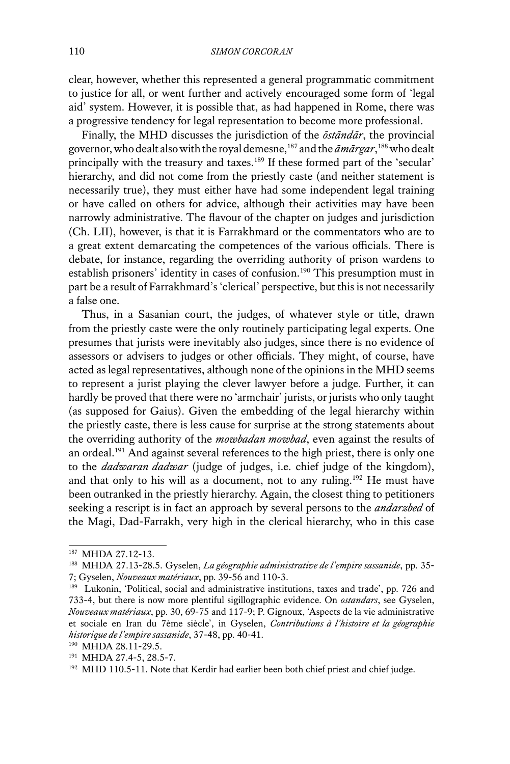clear, however, whether this represented a general programmatic commitment to justice for all, or went further and actively encouraged some form of 'legal aid' system. However, it is possible that, as had happened in Rome, there was a progressive tendency for legal representation to become more professional.

Finally, the MHD discusses the jurisdiction of the *ōstāndār*, the provincial governor, who dealt also with the royal demesne,187 and the *āmārgar*, 188 who dealt principally with the treasury and taxes.189 If these formed part of the 'secular' hierarchy, and did not come from the priestly caste (and neither statement is necessarily true), they must either have had some independent legal training or have called on others for advice, although their activities may have been narrowly administrative. The flavour of the chapter on judges and jurisdiction (Ch. LII), however, is that it is Farrakhmard or the commentators who are to a great extent demarcating the competences of the various officials. There is debate, for instance, regarding the overriding authority of prison wardens to establish prisoners' identity in cases of confusion.<sup>190</sup> This presumption must in part be a result of Farrakhmard's 'clerical' perspective, but this is not necessarily a false one.

Thus, in a Sasanian court, the judges, of whatever style or title, drawn from the priestly caste were the only routinely participating legal experts. One presumes that jurists were inevitably also judges, since there is no evidence of assessors or advisers to judges or other officials. They might, of course, have acted as legal representatives, although none of the opinions in the MHD seems to represent a jurist playing the clever lawyer before a judge. Further, it can hardly be proved that there were no 'armchair' jurists, or jurists who only taught (as supposed for Gaius). Given the embedding of the legal hierarchy within the priestly caste, there is less cause for surprise at the strong statements about the overriding authority of the *mowbadan mowbad*, even against the results of an ordeal.<sup>191</sup> And against several references to the high priest, there is only one to the *dadwaran dadwar* (judge of judges, i.e. chief judge of the kingdom), and that only to his will as a document, not to any ruling.<sup>192</sup> He must have been outranked in the priestly hierarchy. Again, the closest thing to petitioners seeking a rescript is in fact an approach by several persons to the *andarzbed* of the Magi, Dad-Farrakh, very high in the clerical hierarchy, who in this case

<sup>187</sup> MHDA 27.12-13.

<sup>188</sup> MHDA 27.13-28.5. Gyselen, *La géographie administrative de l'empire sassanide*, pp. 35- 7; Gyselen, *Nouveaux matériaux*, pp. 39-56 and 110-3.

<sup>189</sup> Lukonin, 'Political, social and administrative institutions, taxes and trade', pp. 726 and 733-4, but there is now more plentiful sigillographic evidence. On *ostandars*, see Gyselen, *Nouveaux matériaux*, pp. 30, 69-75 and 117-9; P. Gignoux, 'Aspects de la vie administrative et sociale en Iran du 7ème siècle', in Gyselen, *Contributions à l'histoire et la géographie historique de l'empire sassanide*, 37-48, pp. 40-41.

<sup>190</sup> MHDA 28.11-29.5.

<sup>191</sup> MHDA 27.4-5, 28.5-7.

<sup>&</sup>lt;sup>192</sup> MHD 110.5-11. Note that Kerdir had earlier been both chief priest and chief judge.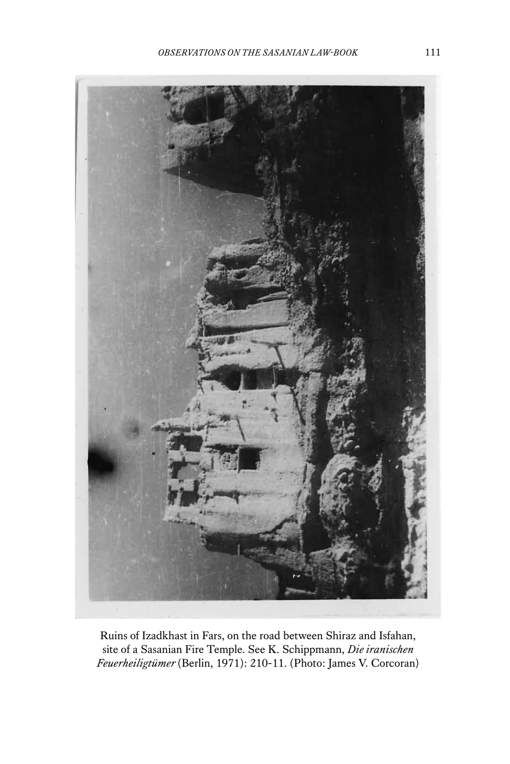

Ruins of Izadkhast in Fars, on the road between Shiraz and Isfahan, site of a Sasanian Fire Temple. See K. Schippmann, *Die iranischen Feuerheiligtümer* (Berlin, 1971): 210-11. (Photo: James V. Corcoran)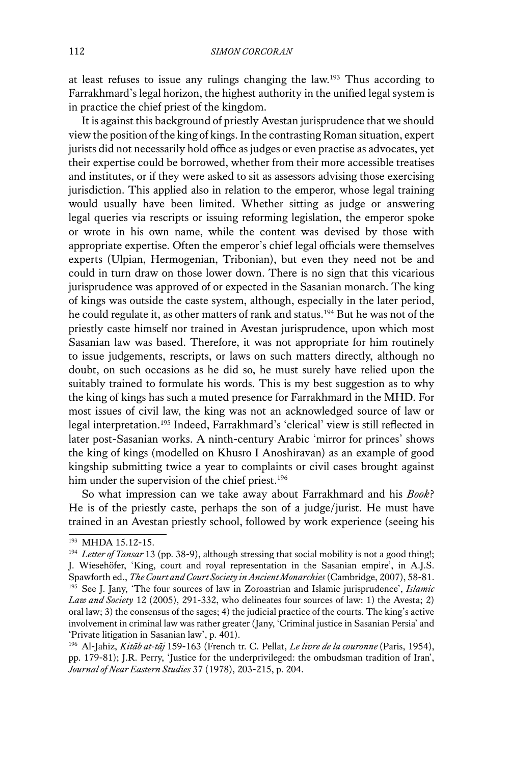at least refuses to issue any rulings changing the law.193 Thus according to Farrakhmard's legal horizon, the highest authority in the unified legal system is in practice the chief priest of the kingdom.

It is against this background of priestly Avestan jurisprudence that we should view the position of the king of kings. In the contrasting Roman situation, expert jurists did not necessarily hold office as judges or even practise as advocates, yet their expertise could be borrowed, whether from their more accessible treatises and institutes, or if they were asked to sit as assessors advising those exercising jurisdiction. This applied also in relation to the emperor, whose legal training would usually have been limited. Whether sitting as judge or answering legal queries via rescripts or issuing reforming legislation, the emperor spoke or wrote in his own name, while the content was devised by those with appropriate expertise. Often the emperor's chief legal officials were themselves experts (Ulpian, Hermogenian, Tribonian), but even they need not be and could in turn draw on those lower down. There is no sign that this vicarious jurisprudence was approved of or expected in the Sasanian monarch. The king of kings was outside the caste system, although, especially in the later period, he could regulate it, as other matters of rank and status.<sup>194</sup> But he was not of the priestly caste himself nor trained in Avestan jurisprudence, upon which most Sasanian law was based. Therefore, it was not appropriate for him routinely to issue judgements, rescripts, or laws on such matters directly, although no doubt, on such occasions as he did so, he must surely have relied upon the suitably trained to formulate his words. This is my best suggestion as to why the king of kings has such a muted presence for Farrakhmard in the MHD. For most issues of civil law, the king was not an acknowledged source of law or legal interpretation.195 Indeed, Farrakhmard's 'clerical' view is still reflected in later post-Sasanian works. A ninth-century Arabic 'mirror for princes' shows the king of kings (modelled on Khusro I Anoshiravan) as an example of good kingship submitting twice a year to complaints or civil cases brought against him under the supervision of the chief priest.<sup>196</sup>

So what impression can we take away about Farrakhmard and his *Book*? He is of the priestly caste, perhaps the son of a judge/jurist. He must have trained in an Avestan priestly school, followed by work experience (seeing his

<sup>193</sup> MHDA 15.12-15.

<sup>194</sup> *Letter of Tansar* 13 (pp. 38-9), although stressing that social mobility is not a good thing!; J. Wiesehöfer, 'King, court and royal representation in the Sasanian empire', in A.J.S. Spawforth ed., *The Court and Court Society in Ancient Monarchies* (Cambridge, 2007), 58-81.

<sup>195</sup> See J. Jany, 'The four sources of law in Zoroastrian and Islamic jurisprudence', *Islamic Law and Society* 12 (2005), 291-332, who delineates four sources of law: 1) the Avesta; 2) oral law; 3) the consensus of the sages; 4) the judicial practice of the courts. The king's active involvement in criminal law was rather greater (Jany, 'Criminal justice in Sasanian Persia' and 'Private litigation in Sasanian law', p. 401).

<sup>196</sup> Al-Jahiz, *Kitāb at-tāj* 159-163 (French tr. C. Pellat, *Le livre de la couronne* (Paris, 1954), pp. 179-81); J.R. Perry, 'Justice for the underprivileged: the ombudsman tradition of Iran', *Journal of Near Eastern Studies* 37 (1978), 203-215, p. 204.